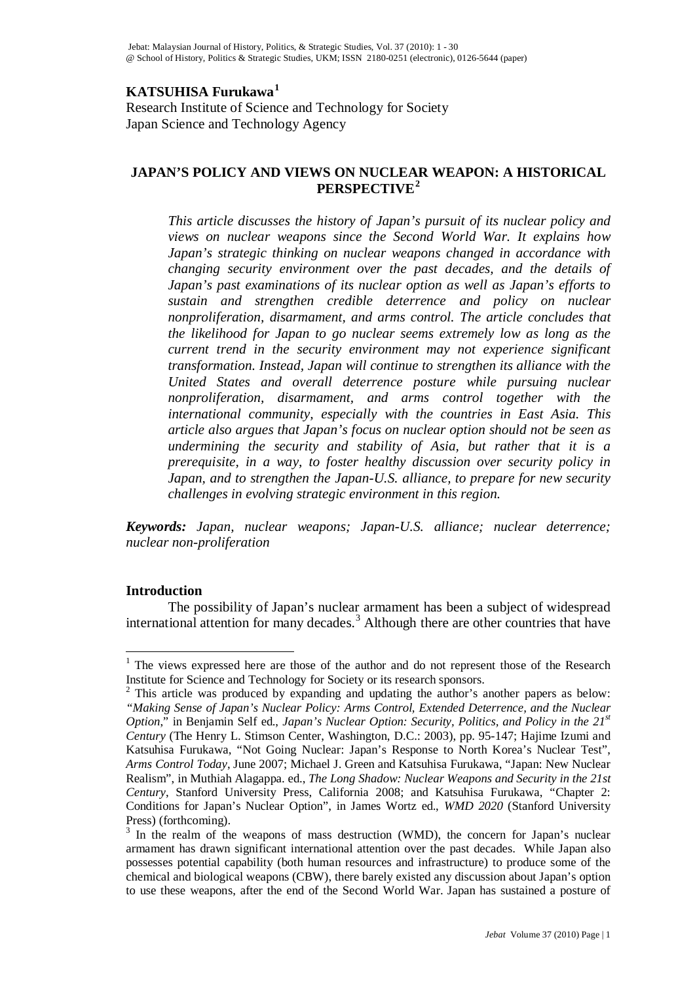# **KATSUHISA Furukawa[1](#page-0-0)**

Research Institute of Science and Technology for Society Japan Science and Technology Agency

## **JAPAN'S POLICY AND VIEWS ON NUCLEAR WEAPON: A HISTORICAL PERSPECTIVE[2](#page-0-1)**

*This article discusses the history of Japan's pursuit of its nuclear policy and views on nuclear weapons since the Second World War. It explains how Japan's strategic thinking on nuclear weapons changed in accordance with changing security environment over the past decades, and the details of Japan's past examinations of its nuclear option as well as Japan's efforts to sustain and strengthen credible deterrence and policy on nuclear nonproliferation, disarmament, and arms control. The article concludes that the likelihood for Japan to go nuclear seems extremely low as long as the current trend in the security environment may not experience significant transformation. Instead, Japan will continue to strengthen its alliance with the United States and overall deterrence posture while pursuing nuclear nonproliferation, disarmament, and arms control together with the international community, especially with the countries in East Asia. This article also argues that Japan's focus on nuclear option should not be seen as undermining the security and stability of Asia, but rather that it is a prerequisite, in a way, to foster healthy discussion over security policy in Japan, and to strengthen the Japan-U.S. alliance, to prepare for new security challenges in evolving strategic environment in this region.* 

*Keywords: Japan, nuclear weapons; Japan-U.S. alliance; nuclear deterrence; nuclear non-proliferation*

## **Introduction**

The possibility of Japan's nuclear armament has been a subject of widespread international attention for many decades.<sup>[3](#page-0-0)</sup> Although there are other countries that have

<span id="page-0-0"></span><sup>&</sup>lt;sup>1</sup> The views expressed here are those of the author and do not represent those of the Research Institute for Science and Technology for Society or its research sponsors.

<span id="page-0-1"></span><sup>&</sup>lt;sup>2</sup> This article was produced by expanding and updating the author's another papers as below: *"Making Sense of Japan's Nuclear Policy: Arms Control, Extended Deterrence, and the Nuclear Option*," in Benjamin Self ed., *Japan's Nuclear Option: Security, Politics, and Policy in the 21st Century* (The Henry L. Stimson Center, Washington, D.C.: 2003), pp. 95-147; [Hajime Izumi and](http://www.armscontrol.org/act/2007_06/CoverStory.asp#bio#bio)  [Katsuhisa Furukawa,](http://www.armscontrol.org/act/2007_06/CoverStory.asp#bio#bio) "Not Going Nuclear: Japan's Response to North Korea's Nuclear Test", *Arms Control Today*, June 2007; Michael J. Green and Katsuhisa Furukawa, "Japan: New Nuclear Realism", in Muthiah Alagappa. ed., *The Long Shadow: Nuclear Weapons and Security in the 21st Century*, Stanford University Press, California 2008; and Katsuhisa Furukawa, "Chapter 2: Conditions for Japan's Nuclear Option", in James Wortz ed., *WMD 2020* (Stanford University Press) (forthcoming).

<sup>&</sup>lt;sup>3</sup> In the realm of the weapons of mass destruction (WMD), the concern for Japan's nuclear armament has drawn significant international attention over the past decades. While Japan also possesses potential capability (both human resources and infrastructure) to produce some of the chemical and biological weapons (CBW), there barely existed any discussion about Japan's option to use these weapons, after the end of the Second World War. Japan has sustained a posture of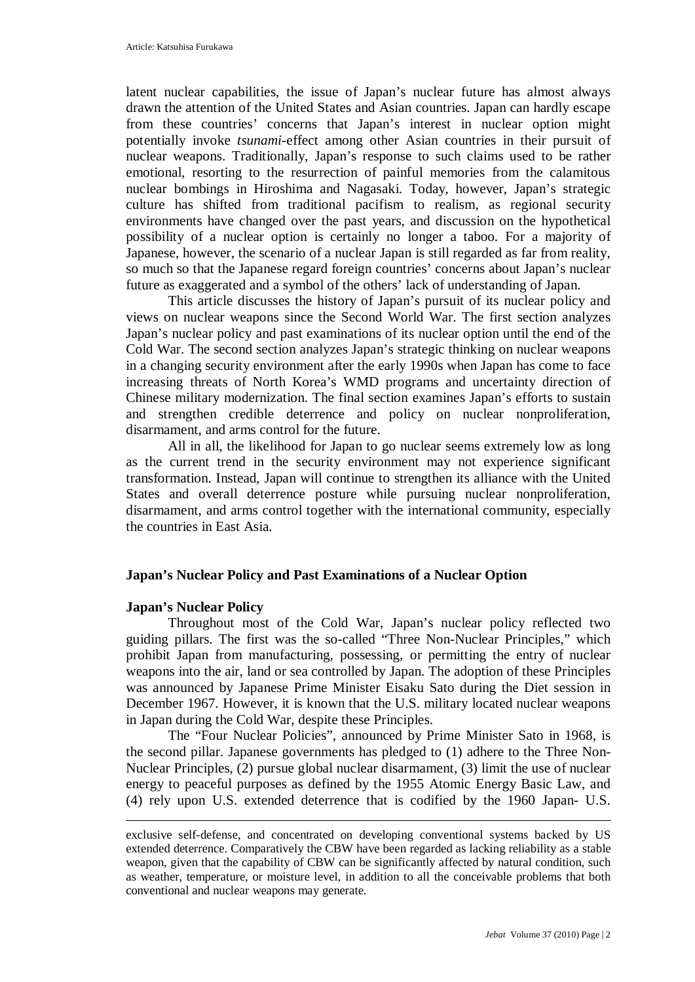latent nuclear capabilities, the issue of Japan's nuclear future has almost always drawn the attention of the United States and Asian countries. Japan can hardly escape from these countries' concerns that Japan's interest in nuclear option might potentially invoke *tsunami*-effect among other Asian countries in their pursuit of nuclear weapons. Traditionally, Japan's response to such claims used to be rather emotional, resorting to the resurrection of painful memories from the calamitous nuclear bombings in Hiroshima and Nagasaki. Today, however, Japan's strategic culture has shifted from traditional pacifism to realism, as regional security environments have changed over the past years, and discussion on the hypothetical possibility of a nuclear option is certainly no longer a taboo. For a majority of Japanese, however, the scenario of a nuclear Japan is still regarded as far from reality, so much so that the Japanese regard foreign countries' concerns about Japan's nuclear future as exaggerated and a symbol of the others' lack of understanding of Japan.

This article discusses the history of Japan's pursuit of its nuclear policy and views on nuclear weapons since the Second World War. The first section analyzes Japan's nuclear policy and past examinations of its nuclear option until the end of the Cold War. The second section analyzes Japan's strategic thinking on nuclear weapons in a changing security environment after the early 1990s when Japan has come to face increasing threats of North Korea's WMD programs and uncertainty direction of Chinese military modernization. The final section examines Japan's efforts to sustain and strengthen credible deterrence and policy on nuclear nonproliferation, disarmament, and arms control for the future.

All in all, the likelihood for Japan to go nuclear seems extremely low as long as the current trend in the security environment may not experience significant transformation. Instead, Japan will continue to strengthen its alliance with the United States and overall deterrence posture while pursuing nuclear nonproliferation, disarmament, and arms control together with the international community, especially the countries in East Asia.

## **Japan's Nuclear Policy and Past Examinations of a Nuclear Option**

## **Japan's Nuclear Policy**

-

Throughout most of the Cold War, Japan's nuclear policy reflected two guiding pillars. The first was the so-called "Three Non-Nuclear Principles," which prohibit Japan from manufacturing, possessing, or permitting the entry of nuclear weapons into the air, land or sea controlled by Japan. The adoption of these Principles was announced by Japanese Prime Minister Eisaku Sato during the Diet session in December 1967. However, it is known that the U.S. military located nuclear weapons in Japan during the Cold War, despite these Principles.

The "Four Nuclear Policies", announced by Prime Minister Sato in 1968, is the second pillar. Japanese governments has pledged to (1) adhere to the Three Non-Nuclear Principles, (2) pursue global nuclear disarmament, (3) limit the use of nuclear energy to peaceful purposes as defined by the 1955 Atomic Energy Basic Law, and (4) rely upon U.S. extended deterrence that is codified by the 1960 Japan- U.S.

exclusive self-defense, and concentrated on developing conventional systems backed by US extended deterrence. Comparatively the CBW have been regarded as lacking reliability as a stable weapon, given that the capability of CBW can be significantly affected by natural condition, such as weather, temperature, or moisture level, in addition to all the conceivable problems that both conventional and nuclear weapons may generate.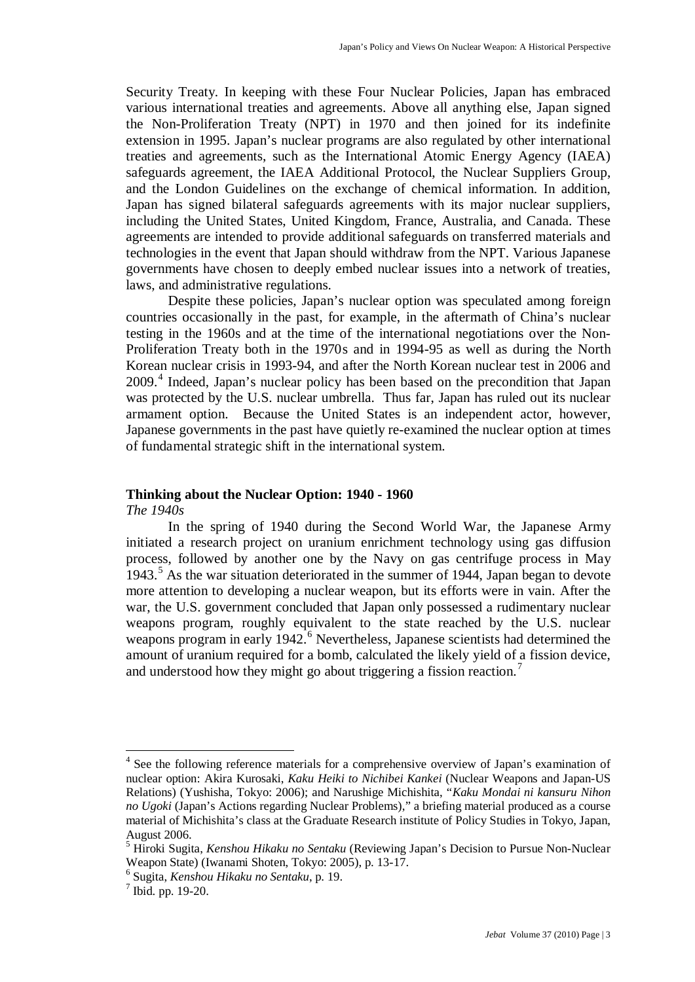Security Treaty. In keeping with these Four Nuclear Policies, Japan has embraced various international treaties and agreements. Above all anything else, Japan signed the Non-Proliferation Treaty (NPT) in 1970 and then joined for its indefinite extension in 1995. Japan's nuclear programs are also regulated by other international treaties and agreements, such as the International Atomic Energy Agency (IAEA) safeguards agreement, the IAEA Additional Protocol, the Nuclear Suppliers Group, and the London Guidelines on the exchange of chemical information. In addition, Japan has signed bilateral safeguards agreements with its major nuclear suppliers, including the United States, United Kingdom, France, Australia, and Canada. These agreements are intended to provide additional safeguards on transferred materials and technologies in the event that Japan should withdraw from the NPT. Various Japanese governments have chosen to deeply embed nuclear issues into a network of treaties, laws, and administrative regulations.

Despite these policies, Japan's nuclear option was speculated among foreign countries occasionally in the past, for example, in the aftermath of China's nuclear testing in the 1960s and at the time of the international negotiations over the Non-Proliferation Treaty both in the 1970s and in 1994-95 as well as during the North Korean nuclear crisis in 1993-94, and after the North Korean nuclear test in 2006 and 2009. [4](#page-2-0) Indeed, Japan's nuclear policy has been based on the precondition that Japan was protected by the U.S. nuclear umbrella. Thus far, Japan has ruled out its nuclear armament option. Because the United States is an independent actor, however, Japanese governments in the past have quietly re-examined the nuclear option at times of fundamental strategic shift in the international system.

# **Thinking about the Nuclear Option: 1940 - 1960**

*The 1940s*

In the spring of 1940 during the Second World War, the Japanese Army initiated a research project on uranium enrichment technology using gas diffusion process, followed by another one by the Navy on gas centrifuge process in May 1943. [5](#page-2-1) As the war situation deteriorated in the summer of 1944, Japan began to devote more attention to developing a nuclear weapon, but its efforts were in vain. After the war, the U.S. government concluded that Japan only possessed a rudimentary nuclear weapons program, roughly equivalent to the state reached by the U.S. nuclear weapons program in early 1942.<sup>[6](#page-2-2)</sup> Nevertheless, Japanese scientists had determined the amount of uranium required for a bomb, calculated the likely yield of a fission device, and understood how they might go about triggering a fission reaction.<sup>[7](#page-2-3)</sup>

<span id="page-2-0"></span><sup>&</sup>lt;sup>4</sup> See the following reference materials for a comprehensive overview of Japan's examination of nuclear option: Akira Kurosaki, *Kaku Heiki to Nichibei Kankei* (Nuclear Weapons and Japan-US Relations) (Yushisha, Tokyo: 2006); and Narushige Michishita, "*Kaku Mondai ni kansuru Nihon no Ugoki* (Japan's Actions regarding Nuclear Problems)," a briefing material produced as a course material of Michishita's class at the Graduate Research institute of Policy Studies in Tokyo, Japan, August 2006.

<span id="page-2-1"></span><sup>5</sup> Hiroki Sugita, *Kenshou Hikaku no Sentaku* (Reviewing Japan's Decision to Pursue Non-Nuclear Weapon State) (Iwanami Shoten, Tokyo: 2005), p. 13-17.

<span id="page-2-2"></span><sup>6</sup> Sugita, *Kenshou Hikaku no Sentaku*, p. 19.

<span id="page-2-3"></span> $<sup>7</sup>$  Ibid. pp. 19-20.</sup>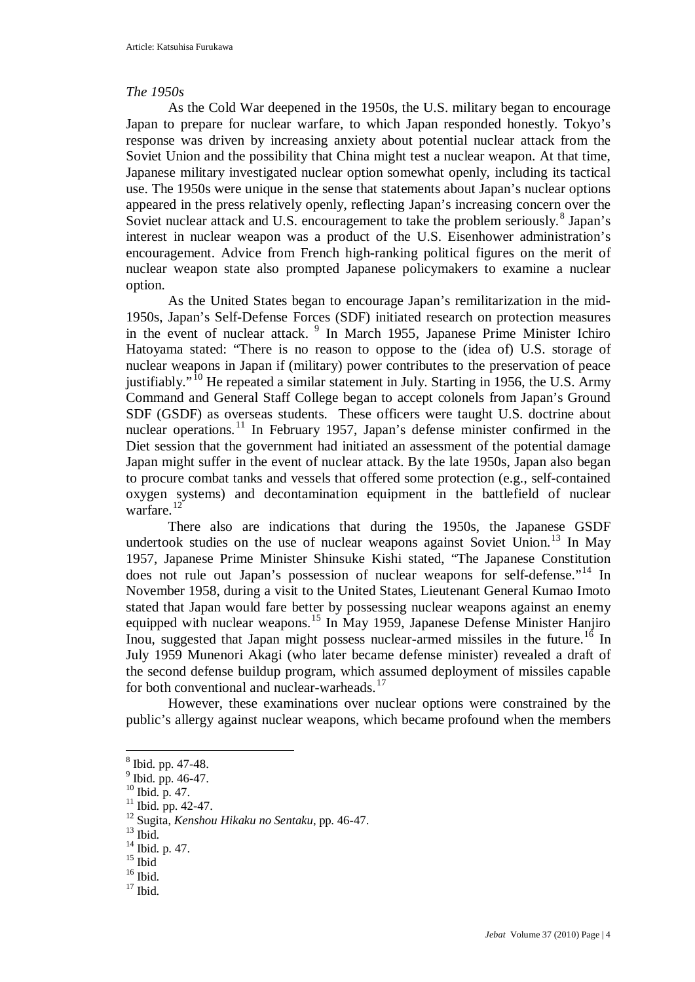### *The 1950s*

As the Cold War deepened in the 1950s, the U.S. military began to encourage Japan to prepare for nuclear warfare, to which Japan responded honestly. Tokyo's response was driven by increasing anxiety about potential nuclear attack from the Soviet Union and the possibility that China might test a nuclear weapon. At that time, Japanese military investigated nuclear option somewhat openly, including its tactical use. The 1950s were unique in the sense that statements about Japan's nuclear options appeared in the press relatively openly, reflecting Japan's increasing concern over the Soviet nuclear attack and U.S. encouragement to take the problem seriously.<sup>[8](#page-3-0)</sup> Japan's interest in nuclear weapon was a product of the U.S. Eisenhower administration's encouragement. Advice from French high-ranking political figures on the merit of nuclear weapon state also prompted Japanese policymakers to examine a nuclear option.

As the United States began to encourage Japan's remilitarization in the mid-1950s, Japan's Self-Defense Forces (SDF) initiated research on protection measures in the event of nuclear attack. [9](#page-3-1) In March 1955, Japanese Prime Minister Ichiro Hatoyama stated: "There is no reason to oppose to the (idea of) U.S. storage of nuclear weapons in Japan if (military) power contributes to the preservation of peace justifiably."<sup>[10](#page-3-2)</sup> He repeated a similar statement in July. Starting in 1956, the U.S. Army Command and General Staff College began to accept colonels from Japan's Ground SDF (GSDF) as overseas students. These officers were taught U.S. doctrine about nuclear operations.<sup>[11](#page-3-3)</sup> In February 1957, Japan's defense minister confirmed in the Diet session that the government had initiated an assessment of the potential damage Japan might suffer in the event of nuclear attack. By the late 1950s, Japan also began to procure combat tanks and vessels that offered some protection (e.g., self-contained oxygen systems) and decontamination equipment in the battlefield of nuclear warfare.<sup>[12](#page-3-4)</sup>

There also are indications that during the 1950s, the Japanese GSDF undertook studies on the use of nuclear weapons against Soviet Union.<sup>[13](#page-3-5)</sup> In May 1957, Japanese Prime Minister Shinsuke Kishi stated, "The Japanese Constitution does not rule out Japan's possession of nuclear weapons for self-defense."<sup>[14](#page-3-6)</sup> In November 1958, during a visit to the United States, Lieutenant General Kumao Imoto stated that Japan would fare better by possessing nuclear weapons against an enemy equipped with nuclear weapons.<sup>[15](#page-3-7)</sup> In May 1959, Japanese Defense Minister Hanjiro Inou, suggested that Japan might possess nuclear-armed missiles in the future.<sup>[16](#page-3-8)</sup> In July 1959 Munenori Akagi (who later became defense minister) revealed a draft of the second defense buildup program, which assumed deployment of missiles capable for both conventional and nuclear-warheads.<sup>[17](#page-3-9)</sup>

However, these examinations over nuclear options were constrained by the public's allergy against nuclear weapons, which became profound when the members

<span id="page-3-0"></span> <sup>8</sup> Ibid. pp. 47-48.

 $<sup>9</sup>$  Ibid. pp. 46-47.</sup>

<span id="page-3-2"></span><span id="page-3-1"></span> $^{10}$  Ibid. p. 47.

<span id="page-3-3"></span> $11$  Ibid. pp. 42-47.

<span id="page-3-4"></span><sup>12</sup> Sugita, *Kenshou Hikaku no Sentaku*, pp. 46-47.<br><sup>13</sup> Ibid.

<span id="page-3-5"></span>

 $14$  Ibid. p. 47.

<span id="page-3-7"></span><span id="page-3-6"></span> $15$  Ibid

<span id="page-3-9"></span><span id="page-3-8"></span> $\frac{16}{17}$  Ibid.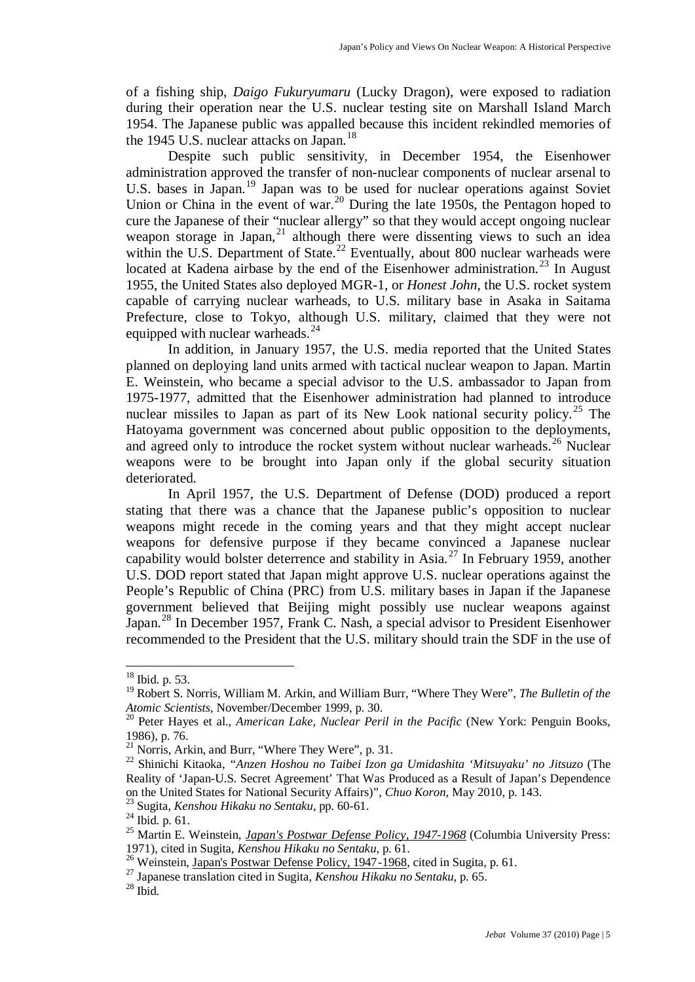of a fishing ship, *Daigo Fukuryumaru* (Lucky Dragon), were exposed to radiation during their operation near the U.S. nuclear testing site on Marshall Island March 1954. The Japanese public was appalled because this incident rekindled memories of the 1945 U.S. nuclear attacks on Japan.<sup>[18](#page-4-0)</sup>

Despite such public sensitivity, in December 1954, the Eisenhower administration approved the transfer of non-nuclear components of nuclear arsenal to U.S. bases in Japan.<sup>[19](#page-4-1)</sup> Japan was to be used for nuclear operations against Soviet Union or China in the event of war.<sup>[20](#page-4-2)</sup> During the late 1950s, the Pentagon hoped to cure the Japanese of their "nuclear allergy" so that they would accept ongoing nuclear weapon storage in Japan, $^{21}$  $^{21}$  $^{21}$  although there were dissenting views to such an idea within the U.S. Department of State.<sup>[22](#page-4-4)</sup> Eventually, about 800 nuclear warheads were located at Kadena airbase by the end of the Eisenhower administration.<sup>[23](#page-4-5)</sup> In August 1955, the United States also deployed MGR-1, or *Honest John*, the U.S. rocket system capable of carrying nuclear warheads, to U.S. military base in Asaka in Saitama Prefecture, close to Tokyo, although U.S. military, claimed that they were not equipped with nuclear warheads. $^{24}$  $^{24}$  $^{24}$ 

In addition, in January 1957, the U.S. media reported that the United States planned on deploying land units armed with tactical nuclear weapon to Japan. Martin E. Weinstein, who became a special advisor to the U.S. ambassador to Japan from 1975-1977, admitted that the Eisenhower administration had planned to introduce nuclear missiles to Japan as part of its New Look national security policy.<sup>[25](#page-4-7)</sup> The Hatoyama government was concerned about public opposition to the deployments, and agreed only to introduce the rocket system without nuclear warheads.<sup>[26](#page-4-8)</sup> Nuclear weapons were to be brought into Japan only if the global security situation deteriorated.

In April 1957, the U.S. Department of Defense (DOD) produced a report stating that there was a chance that the Japanese public's opposition to nuclear weapons might recede in the coming years and that they might accept nuclear weapons for defensive purpose if they became convinced a Japanese nuclear capability would bolster deterrence and stability in Asia.<sup>[27](#page-4-9)</sup> In February 1959, another U.S. DOD report stated that Japan might approve U.S. nuclear operations against the People's Republic of China (PRC) from U.S. military bases in Japan if the Japanese government believed that Beijing might possibly use nuclear weapons against Japan.[28](#page-4-10) In December 1957, Frank C. Nash, a special advisor to President Eisenhower recommended to the President that the U.S. military should train the SDF in the use of

<span id="page-4-0"></span> <sup>18</sup> Ibid. p. 53.

<span id="page-4-1"></span><sup>19</sup> Robert S. Norris, William M. Arkin, and William Burr, "Where They Were", *The Bulletin of the Atomic Scientists*, November/December 1999, p. 30.

<span id="page-4-2"></span><sup>20</sup> Peter Hayes et al., *American Lake, Nuclear Peril in the Pacific* (New York: Penguin Books, 1986), p. 76.

<span id="page-4-3"></span> $^{21}$  Norris, Arkin, and Burr, "Where They Were", p. 31.

<span id="page-4-4"></span><sup>22</sup> Shinichi Kitaoka, *"Anzen Hoshou no Taibei Izon ga Umidashita 'Mitsuyaku' no Jitsuzo* (The Reality of 'Japan-U.S. Secret Agreement' That Was Produced as a Result of Japan's Dependence on the United States for National Security Affairs)", *Chuo Koron*, May 2010, p. 143.

<sup>23</sup> Sugita, *Kenshou Hikaku no Sentaku*, pp. 60-61.

<span id="page-4-6"></span><span id="page-4-5"></span> $^{24}$  Ibid. p. 61.

<span id="page-4-7"></span><sup>25</sup> Martin E. Weinstein, *[Japan's Postwar Defense Policy, 1947-1968](http://www.amazon.com/exec/obidos/tg/detail/-/B000UEITZY/ref=ord_cart_shr?%5Fencoding=UTF8&v=glance)* (Columbia University Press: 1971), cited in Sugita, *Kenshou Hikaku no Sentaku*, p. 61.

<span id="page-4-8"></span><sup>&</sup>lt;sup>26</sup> Weinstein, Japan'<u>s Postwar Defense Policy, 1947-1968</u>, cited in Sugita, p. 61.

<span id="page-4-9"></span><sup>27</sup> Japanese translation cited in Sugita, *Kenshou Hikaku no Sentaku*, p. 65.

<span id="page-4-10"></span> $^{28}$  Ibid.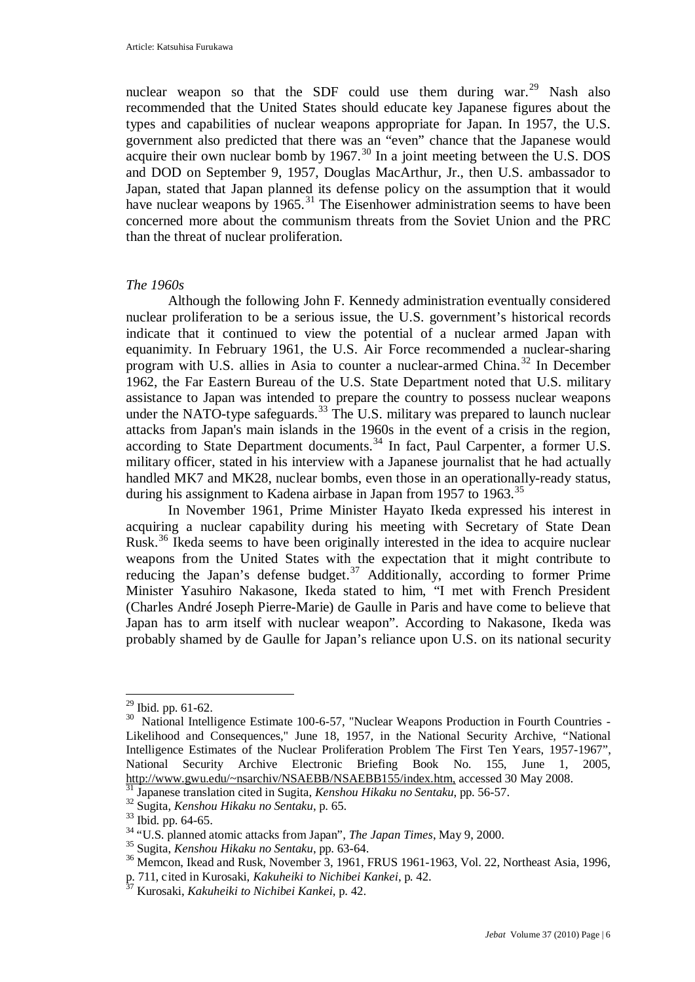nuclear weapon so that the SDF could use them during war.<sup>[29](#page-5-0)</sup> Nash also recommended that the United States should educate key Japanese figures about the types and capabilities of nuclear weapons appropriate for Japan. In 1957, the U.S. government also predicted that there was an "even" chance that the Japanese would acquire their own nuclear bomb by  $1967$ .<sup>[30](#page-5-1)</sup> In a joint meeting between the U.S. DOS and DOD on September 9, 1957, Douglas MacArthur, Jr., then U.S. ambassador to Japan, stated that Japan planned its defense policy on the assumption that it would have nuclear weapons by 1965.<sup>[31](#page-5-2)</sup> The Eisenhower administration seems to have been concerned more about the communism threats from the Soviet Union and the PRC than the threat of nuclear proliferation.

#### *The 1960s*

Although the following John F. Kennedy administration eventually considered nuclear proliferation to be a serious issue, the U.S. government's historical records indicate that it continued to view the potential of a nuclear armed Japan with equanimity. In February 1961, the U.S. Air Force recommended a nuclear-sharing program with U.S. allies in Asia to counter a nuclear-armed China.<sup>[32](#page-5-3)</sup> In December 1962, the Far Eastern Bureau of the U.S. State Department noted that U.S. military assistance to Japan was intended to prepare the country to possess nuclear weapons under the NATO-type safeguards. $33$  The U.S. military was prepared to launch nuclear attacks from Japan's main islands in the 1960s in the event of a crisis in the region, according to State Department documents.<sup>[34](#page-5-5)</sup> In fact, Paul Carpenter, a former U.S. military officer, stated in his interview with a Japanese journalist that he had actually handled MK7 and MK28, nuclear bombs, even those in an operationally-ready status, during his assignment to Kadena airbase in Japan from 1957 to 1963.<sup>[35](#page-5-6)</sup>

In November 1961, Prime Minister Hayato Ikeda expressed his interest in acquiring a nuclear capability during his meeting with Secretary of State Dean Rusk.<sup>[36](#page-5-7)</sup> Ikeda seems to have been originally interested in the idea to acquire nuclear weapons from the United States with the expectation that it might contribute to reducing the Japan's defense budget.<sup>[37](#page-5-8)</sup> Additionally, according to former Prime Minister Yasuhiro Nakasone, Ikeda stated to him, "I met with French President (Charles André Joseph Pierre-Marie) de Gaulle in Paris and have come to believe that Japan has to arm itself with nuclear weapon". According to Nakasone, Ikeda was probably shamed by de Gaulle for Japan's reliance upon U.S. on its national security

<span id="page-5-0"></span> <sup>29</sup> Ibid. pp. 61-62.

<span id="page-5-1"></span><sup>&</sup>lt;sup>30</sup> National Intelligence Estimate 100-6-57, "Nuclear Weapons Production in Fourth Countries -Likelihood and Consequences," June 18, 1957, in the National Security Archive, "National Intelligence Estimates of the Nuclear Proliferation Problem The First Ten Years, 1957-1967", National Security Archive Electronic Briefing Book No. 155, June 1, 2005, [http://www.gwu.edu/~nsarchiv/NSAEBB/NSAEBB155/index.htm,](http://www.gwu.edu/~nsarchiv/NSAEBB/NSAEBB155/index.htm) accessed 30 May 2008. <sup>31</sup> Japanese translation cited in Sugita, *Kenshou Hikaku no Sentaku*, pp. 56-57.

<span id="page-5-2"></span><sup>32</sup> Sugita, *Kenshou Hikaku no Sentaku*, p. 65.

<span id="page-5-4"></span><span id="page-5-3"></span> $33$  Ibid. pp. 64-65.

<span id="page-5-5"></span><sup>34</sup> "U.S. planned atomic attacks from Japan", *The Japan Times*, May 9, 2000.

<span id="page-5-6"></span><sup>35</sup> Sugita, *Kenshou Hikaku no Sentaku*, pp. 63-64.

<span id="page-5-7"></span><sup>36</sup> Memcon, Ikead and Rusk, November 3, 1961, FRUS 1961-1963, Vol. 22, Northeast Asia, 1996, p. 711, cited in Kurosaki, *Kakuheiki to Nichibei Kankei*, p. 42.

<span id="page-5-8"></span><sup>37</sup> Kurosaki, *Kakuheiki to Nichibei Kankei*, p. 42.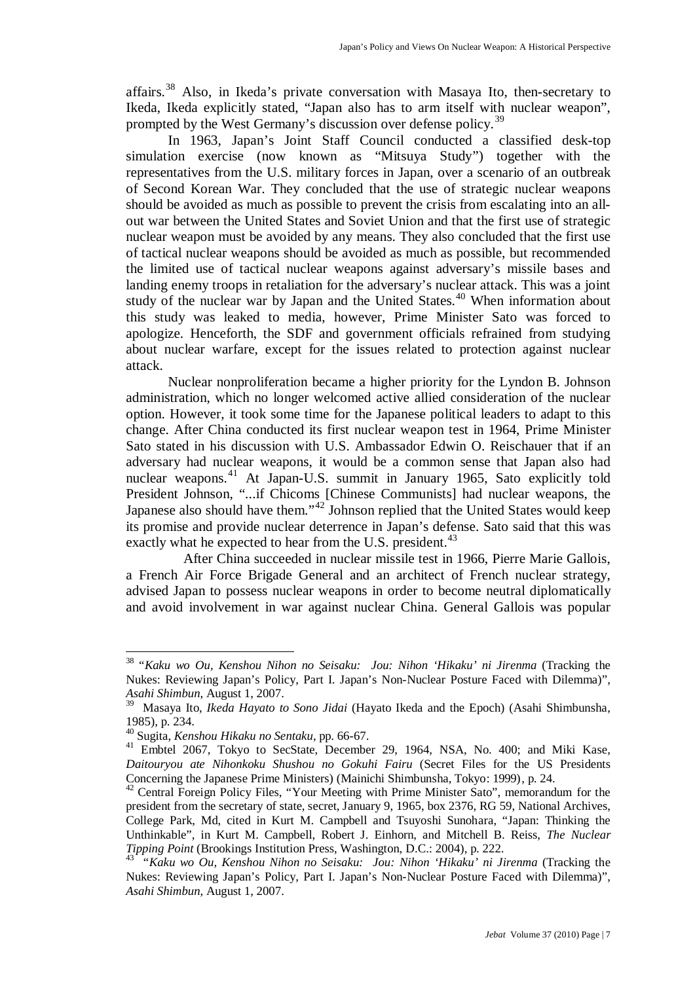affairs.[38](#page-6-0) Also, in Ikeda's private conversation with Masaya Ito, then-secretary to Ikeda, Ikeda explicitly stated, "Japan also has to arm itself with nuclear weapon", prompted by the West Germany's discussion over defense policy.<sup>[39](#page-6-1)</sup>

In 1963, Japan's Joint Staff Council conducted a classified desk-top simulation exercise (now known as "Mitsuya Study") together with the representatives from the U.S. military forces in Japan, over a scenario of an outbreak of Second Korean War. They concluded that the use of strategic nuclear weapons should be avoided as much as possible to prevent the crisis from escalating into an allout war between the United States and Soviet Union and that the first use of strategic nuclear weapon must be avoided by any means. They also concluded that the first use of tactical nuclear weapons should be avoided as much as possible, but recommended the limited use of tactical nuclear weapons against adversary's missile bases and landing enemy troops in retaliation for the adversary's nuclear attack. This was a joint study of the nuclear war by Japan and the United States.<sup>[40](#page-6-2)</sup> When information about this study was leaked to media, however, Prime Minister Sato was forced to apologize. Henceforth, the SDF and government officials refrained from studying about nuclear warfare, except for the issues related to protection against nuclear attack.

Nuclear nonproliferation became a higher priority for the Lyndon B. Johnson administration, which no longer welcomed active allied consideration of the nuclear option. However, it took some time for the Japanese political leaders to adapt to this change. After China conducted its first nuclear weapon test in 1964, Prime Minister Sato stated in his discussion with U.S. Ambassador Edwin O. Reischauer that if an adversary had nuclear weapons, it would be a common sense that Japan also had nuclear weapons. [41](#page-6-3) At Japan-U.S. summit in January 1965, Sato explicitly told President Johnson, "...if Chicoms [Chinese Communists] had nuclear weapons, the Japanese also should have them."[42](#page-6-4) Johnson replied that the United States would keep its promise and provide nuclear deterrence in Japan's defense. Sato said that this was exactly what he expected to hear from the U.S. president.<sup>[43](#page-6-5)</sup>

After China succeeded in nuclear missile test in 1966, Pierre Marie Gallois, a [French](http://en.wikipedia.org/wiki/France) Air Force [Brigade General](http://en.wikipedia.org/wiki/Brigade_general) and an architect of French nuclear strategy, advised Japan to possess nuclear weapons in order to become neutral diplomatically and avoid involvement in war against nuclear China. General Gallois was popular

<span id="page-6-0"></span> <sup>38</sup> "*Kaku wo Ou, Kenshou Nihon no Seisaku: Jou: Nihon 'Hikaku' ni Jirenma* (Tracking the Nukes: Reviewing Japan's Policy, Part I. Japan's Non-Nuclear Posture Faced with Dilemma)", *Asahi Shimbun*, August 1, 2007. 39 Masaya Ito, *Ikeda Hayato to Sono Jidai* (Hayato Ikeda and the Epoch) (Asahi Shimbunsha,

<span id="page-6-1"></span><sup>1985),</sup> p. 234.

<span id="page-6-2"></span><sup>40</sup> Sugita, *Kenshou Hikaku no Sentaku*, pp. 66-67.

<span id="page-6-3"></span><sup>&</sup>lt;sup>41</sup> Embtel 2067, Tokyo to SecState, December 29, 1964, NSA, No. 400; and Miki Kase, *Daitouryou ate Nihonkoku Shushou no Gokuhi Fairu* (Secret Files for the US Presidents Concerning the Japanese Prime Ministers) (Mainichi Shimbunsha, Tokyo: 1999), p. 24.

<span id="page-6-4"></span><sup>&</sup>lt;sup>42</sup> Central Foreign Policy Files, "Your Meeting with Prime Minister Sato", memorandum for the president from the secretary of state, secret, January 9, 1965, box 2376, RG 59, National Archives, College Park, Md, cited in Kurt M. Campbell and Tsuyoshi Sunohara, "Japan: Thinking the Unthinkable", in Kurt M. Campbell, Robert J. Einhorn, and Mitchell B. Reiss, *The Nuclear Tipping Point* (Brookings Institution Press, Washington, D.C.: 2004), p. 222.

<span id="page-6-5"></span><sup>43 &</sup>quot;*Kaku wo Ou, Kenshou Nihon no Seisaku: Jou: Nihon 'Hikaku' ni Jirenma* (Tracking the Nukes: Reviewing Japan's Policy, Part I. Japan's Non-Nuclear Posture Faced with Dilemma)", *Asahi Shimbun*, August 1, 2007.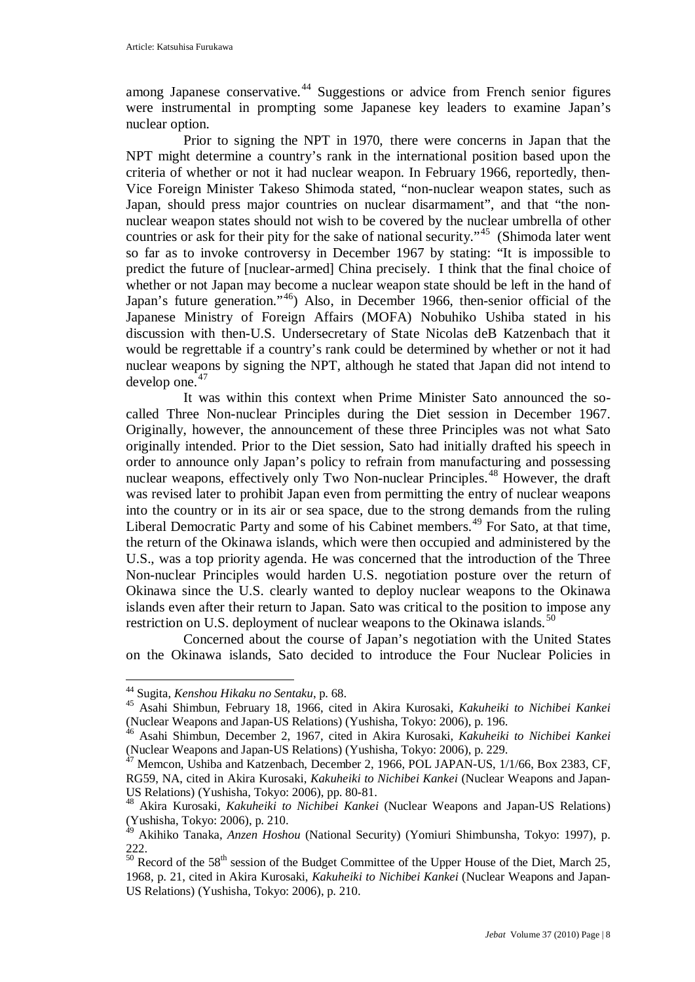among Japanese conservative.<sup>[44](#page-7-0)</sup> Suggestions or advice from French senior figures were instrumental in prompting some Japanese key leaders to examine Japan's nuclear option.

Prior to signing the NPT in 1970, there were concerns in Japan that the NPT might determine a country's rank in the international position based upon the criteria of whether or not it had nuclear weapon. In February 1966, reportedly, then-Vice Foreign Minister Takeso Shimoda stated, "non-nuclear weapon states, such as Japan, should press major countries on nuclear disarmament", and that "the nonnuclear weapon states should not wish to be covered by the nuclear umbrella of other countries or ask for their pity for the sake of national security."<sup>[45](#page-7-1)</sup> (Shimoda later went so far as to invoke controversy in December 1967 by stating: "It is impossible to predict the future of [nuclear-armed] China precisely. I think that the final choice of whether or not Japan may become a nuclear weapon state should be left in the hand of Japan's future generation."<sup>[46](#page-7-2)</sup>) Also, in December 1966, then-senior official of the Japanese Ministry of Foreign Affairs (MOFA) Nobuhiko Ushiba stated in his discussion with then-U.S. Undersecretary of State Nicolas deB Katzenbach that it would be regrettable if a country's rank could be determined by whether or not it had nuclear weapons by signing the NPT, although he stated that Japan did not intend to develop one. $47$ 

It was within this context when Prime Minister Sato announced the socalled Three Non-nuclear Principles during the Diet session in December 1967. Originally, however, the announcement of these three Principles was not what Sato originally intended. Prior to the Diet session, Sato had initially drafted his speech in order to announce only Japan's policy to refrain from manufacturing and possessing nuclear weapons, effectively only Two Non-nuclear Principles.[48](#page-7-4) However, the draft was revised later to prohibit Japan even from permitting the entry of nuclear weapons into the country or in its air or sea space, due to the strong demands from the ruling Liberal Democratic Party and some of his Cabinet members.<sup>[49](#page-7-5)</sup> For Sato, at that time, the return of the Okinawa islands, which were then occupied and administered by the U.S., was a top priority agenda. He was concerned that the introduction of the Three Non-nuclear Principles would harden U.S. negotiation posture over the return of Okinawa since the U.S. clearly wanted to deploy nuclear weapons to the Okinawa islands even after their return to Japan. Sato was critical to the position to impose any restriction on U.S. deployment of nuclear weapons to the Okinawa islands.<sup>[50](#page-7-6)</sup>

Concerned about the course of Japan's negotiation with the United States on the Okinawa islands, Sato decided to introduce the Four Nuclear Policies in

<span id="page-7-0"></span> <sup>44</sup> Sugita, *Kenshou Hikaku no Sentaku*, p. 68.

<span id="page-7-1"></span><sup>45</sup> Asahi Shimbun, February 18, 1966, cited in Akira Kurosaki, *Kakuheiki to Nichibei Kankei*  (Nuclear Weapons and Japan-US Relations) (Yushisha, Tokyo: 2006), p. 196.

<span id="page-7-2"></span><sup>&</sup>lt;sup>46</sup> Asahi Shimbun, December 2, 1967, cited in Akira Kurosaki, *Kakuheiki to Nichibei Kankei* (Nuclear Weapons and Japan-US Relations) (Yushisha, Tokyo: 2006), p. 229.

<span id="page-7-3"></span><sup>(</sup>Nuclear Weapons and Japan-US Relations) (Yushimin, Yushimin, Tokyo: 2006), p. 229. 47 Memcon, Ushiba and Katzenbach, December 2, 1966, POL JAPAN-US, 1/1/66, Box 2383, CF, RG59, NA, cited in Akira Kurosaki, *Kakuheiki to Nichibei Kankei* (Nuclear Weapons and Japan-US Relations) (Yushisha, Tokyo: 2006), pp. 80-81.

<span id="page-7-4"></span><sup>48</sup> Akira Kurosaki, *Kakuheiki to Nichibei Kankei* (Nuclear Weapons and Japan-US Relations) (Yushisha, Tokyo: 2006), p. 210.

<span id="page-7-5"></span><sup>49</sup> Akihiko Tanaka, *Anzen Hoshou* (National Security) (Yomiuri Shimbunsha, Tokyo: 1997), p. 222.

<span id="page-7-6"></span> $\frac{50}{50}$  Record of the 58<sup>th</sup> session of the Budget Committee of the Upper House of the Diet, March 25, 1968, p. 21, cited in Akira Kurosaki, *Kakuheiki to Nichibei Kankei* (Nuclear Weapons and Japan-US Relations) (Yushisha, Tokyo: 2006), p. 210.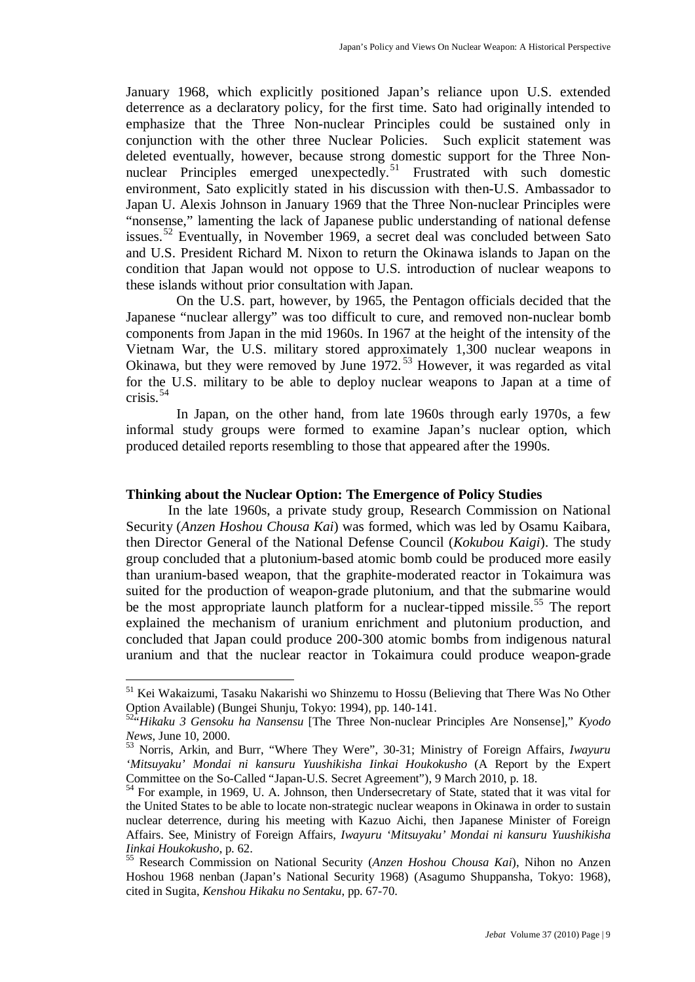January 1968, which explicitly positioned Japan's reliance upon U.S. extended deterrence as a declaratory policy, for the first time. Sato had originally intended to emphasize that the Three Non-nuclear Principles could be sustained only in conjunction with the other three Nuclear Policies. Such explicit statement was deleted eventually, however, because strong domestic support for the Three Non-nuclear Principles emerged unexpectedly.<sup>[51](#page-8-0)</sup> Frustrated with such domestic environment, Sato explicitly stated in his discussion with then-U.S. Ambassador to Japan U. Alexis Johnson in January 1969 that the Three Non-nuclear Principles were "nonsense," lamenting the lack of Japanese public understanding of national defense issues.<sup>[52](#page-8-1)</sup> Eventually, in November 1969, a secret deal was concluded between Sato and U.S. President Richard M. Nixon to return the Okinawa islands to Japan on the condition that Japan would not oppose to U.S. introduction of nuclear weapons to these islands without prior consultation with Japan.

On the U.S. part, however, by 1965, the Pentagon officials decided that the Japanese "nuclear allergy" was too difficult to cure, and removed non-nuclear bomb components from Japan in the mid 1960s. In 1967 at the height of the intensity of the Vietnam War, the U.S. military stored approximately 1,300 nuclear weapons in Okinawa, but they were removed by June 1972.<sup>[53](#page-8-2)</sup> However, it was regarded as vital for the U.S. military to be able to deploy nuclear weapons to Japan at a time of crisis. $54$ 

In Japan, on the other hand, from late 1960s through early 1970s, a few informal study groups were formed to examine Japan's nuclear option, which produced detailed reports resembling to those that appeared after the 1990s.

### **Thinking about the Nuclear Option: The Emergence of Policy Studies**

In the late 1960s, a private study group, Research Commission on National Security (*Anzen Hoshou Chousa Kai*) was formed, which was led by Osamu Kaibara, then Director General of the National Defense Council (*Kokubou Kaigi*). The study group concluded that a plutonium-based atomic bomb could be produced more easily than uranium-based weapon, that the graphite-moderated reactor in Tokaimura was suited for the production of weapon-grade plutonium, and that the submarine would be the most appropriate launch platform for a nuclear-tipped missile.<sup>[55](#page-8-4)</sup> The report explained the mechanism of uranium enrichment and plutonium production, and concluded that Japan could produce 200-300 atomic bombs from indigenous natural uranium and that the nuclear reactor in Tokaimura could produce weapon-grade

<span id="page-8-0"></span> <sup>51</sup> Kei Wakaizumi, Tasaku Nakarishi wo Shinzemu to Hossu (Believing that There Was No Other Option Available) (Bungei Shunju, Tokyo: 1994), pp. 140-141.

<span id="page-8-1"></span><sup>52&</sup>quot;*Hikaku 3 Gensoku ha Nansensu* [The Three Non-nuclear Principles Are Nonsense]," *Kyodo News*, June 10, 2000.

<span id="page-8-2"></span><sup>53</sup> Norris, Arkin, and Burr, "Where They Were", 30-31; Ministry of Foreign Affairs, *Iwayuru 'Mitsuyaku' Mondai ni kansuru Yuushikisha Iinkai Houkokusho* (A Report by the Expert Committee on the So-Called "Japan-U.S. Secret Agreement"), 9 March 2010, p. 18.

<span id="page-8-3"></span><sup>&</sup>lt;sup>54</sup> For example, in 1969, U. A. Johnson, then Undersecretary of State, stated that it was vital for the United States to be able to locate non-strategic nuclear weapons in Okinawa in order to sustain nuclear deterrence, during his meeting with Kazuo Aichi, then Japanese Minister of Foreign Affairs. See, Ministry of Foreign Affairs, *Iwayuru 'Mitsuyaku' Mondai ni kansuru Yuushikisha Iinkai Houkokusho*, p. 62.

<span id="page-8-4"></span><sup>55</sup> Research Commission on National Security (*Anzen Hoshou Chousa Kai*), Nihon no Anzen Hoshou 1968 nenban (Japan's National Security 1968) (Asagumo Shuppansha, Tokyo: 1968), cited in Sugita, *Kenshou Hikaku no Sentaku*, pp. 67-70.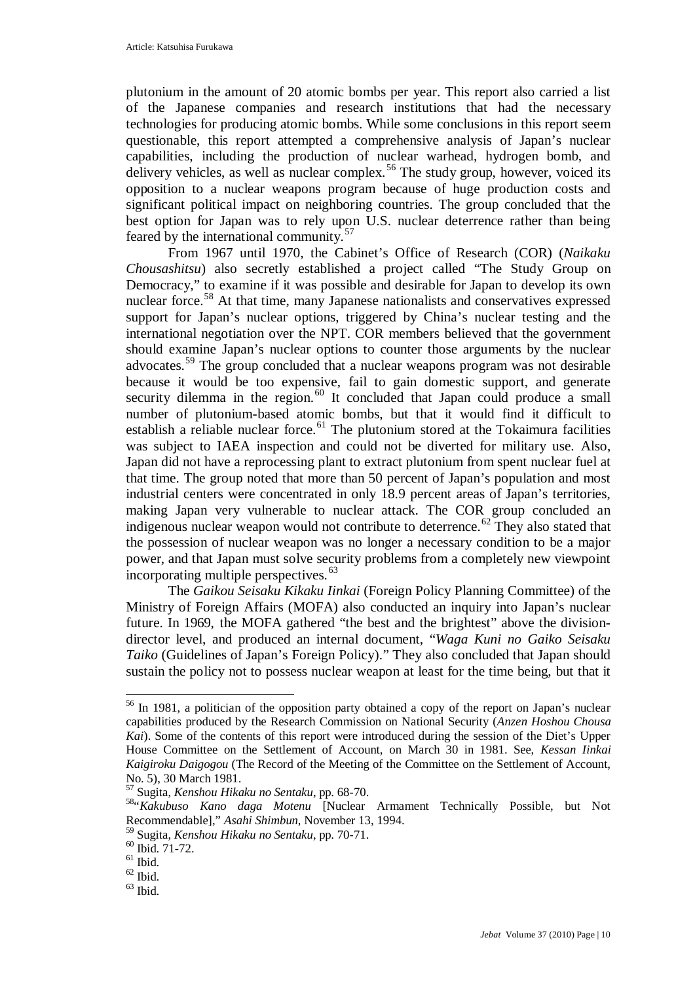plutonium in the amount of 20 atomic bombs per year. This report also carried a list of the Japanese companies and research institutions that had the necessary technologies for producing atomic bombs. While some conclusions in this report seem questionable, this report attempted a comprehensive analysis of Japan's nuclear capabilities, including the production of nuclear warhead, hydrogen bomb, and delivery vehicles, as well as nuclear complex.<sup>[56](#page-9-0)</sup> The study group, however, voiced its opposition to a nuclear weapons program because of huge production costs and significant political impact on neighboring countries. The group concluded that the best option for Japan was to rely upon U.S. nuclear deterrence rather than being feared by the international community.<sup>[57](#page-9-1)</sup>

From 1967 until 1970, the Cabinet's Office of Research (COR) (*Naikaku Chousashitsu*) also secretly established a project called "The Study Group on Democracy," to examine if it was possible and desirable for Japan to develop its own nuclear force.<sup>[58](#page-9-2)</sup> At that time, many Japanese nationalists and conservatives expressed support for Japan's nuclear options, triggered by China's nuclear testing and the international negotiation over the NPT. COR members believed that the government should examine Japan's nuclear options to counter those arguments by the nuclear advocates.[59](#page-9-3) The group concluded that a nuclear weapons program was not desirable because it would be too expensive, fail to gain domestic support, and generate security dilemma in the region. $60$  It concluded that Japan could produce a small number of plutonium-based atomic bombs, but that it would find it difficult to establish a reliable nuclear force.<sup>[61](#page-9-5)</sup> The plutonium stored at the Tokaimura facilities was subject to IAEA inspection and could not be diverted for military use. Also, Japan did not have a reprocessing plant to extract plutonium from spent nuclear fuel at that time. The group noted that more than 50 percent of Japan's population and most industrial centers were concentrated in only 18.9 percent areas of Japan's territories, making Japan very vulnerable to nuclear attack. The COR group concluded an indigenous nuclear weapon would not contribute to deterrence.<sup>[62](#page-9-6)</sup> They also stated that the possession of nuclear weapon was no longer a necessary condition to be a major power, and that Japan must solve security problems from a completely new viewpoint incorporating multiple perspectives.<sup>[63](#page-9-7)</sup>

The *Gaikou Seisaku Kikaku Iinkai* (Foreign Policy Planning Committee) of the Ministry of Foreign Affairs (MOFA) also conducted an inquiry into Japan's nuclear future. In 1969, the MOFA gathered "the best and the brightest" above the divisiondirector level, and produced an internal document, "*Waga Kuni no Gaiko Seisaku Taiko* (Guidelines of Japan's Foreign Policy)." They also concluded that Japan should sustain the policy not to possess nuclear weapon at least for the time being, but that it

<span id="page-9-0"></span><sup>&</sup>lt;sup>56</sup> In 1981, a politician of the opposition party obtained a copy of the report on Japan's nuclear capabilities produced by the Research Commission on National Security (*Anzen Hoshou Chousa Kai*). Some of the contents of this report were introduced during the session of the Diet's Upper House Committee on the Settlement of Account, on March 30 in 1981. See, *Kessan Iinkai Kaigiroku Daigogou* (The Record of the Meeting of the Committee on the Settlement of Account, No. 5), 30 March 1981.

<sup>57</sup> Sugita, *Kenshou Hikaku no Sentaku*, pp. 68-70.

<span id="page-9-2"></span><span id="page-9-1"></span><sup>58&</sup>quot;*Kakubuso Kano daga Motenu* [Nuclear Armament Technically Possible, but Not Recommendable]," *Asahi Shimbun*, November 13, 1994.

<sup>59</sup> Sugita, *Kenshou Hikaku no Sentaku*, pp. 70-71.

<span id="page-9-4"></span><span id="page-9-3"></span> $^{60}$  Ibid. 71-72.

<span id="page-9-7"></span><span id="page-9-6"></span><span id="page-9-5"></span> $\frac{62}{63}$  Ibid.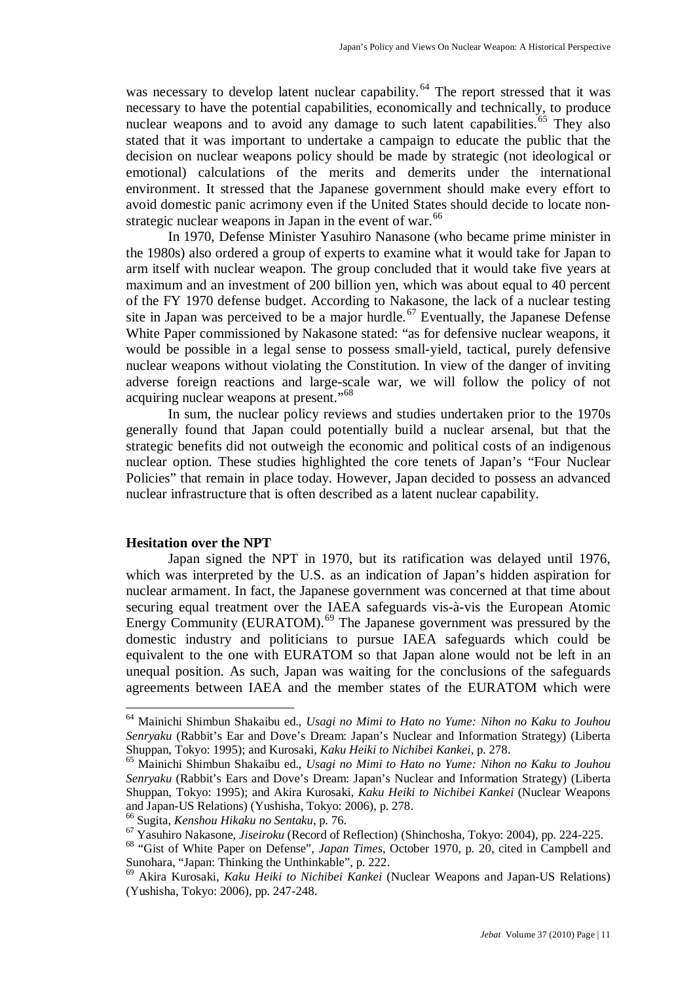was necessary to develop latent nuclear capability.<sup>[64](#page-10-0)</sup> The report stressed that it was necessary to have the potential capabilities, economically and technically, to produce nuclear weapons and to avoid any damage to such latent capabilities.<sup>[65](#page-10-1)</sup> They also stated that it was important to undertake a campaign to educate the public that the decision on nuclear weapons policy should be made by strategic (not ideological or emotional) calculations of the merits and demerits under the international environment. It stressed that the Japanese government should make every effort to avoid domestic panic acrimony even if the United States should decide to locate non-strategic nuclear weapons in Japan in the event of war.<sup>[66](#page-10-2)</sup>

In 1970, Defense Minister Yasuhiro Nanasone (who became prime minister in the 1980s) also ordered a group of experts to examine what it would take for Japan to arm itself with nuclear weapon. The group concluded that it would take five years at maximum and an investment of 200 billion yen, which was about equal to 40 percent of the FY 1970 defense budget. According to Nakasone, the lack of a nuclear testing site in Japan was perceived to be a major hurdle.<sup>[67](#page-10-3)</sup> Eventually, the Japanese Defense White Paper commissioned by Nakasone stated: "as for defensive nuclear weapons, it would be possible in a legal sense to possess small-yield, tactical, purely defensive nuclear weapons without violating the Constitution. In view of the danger of inviting adverse foreign reactions and large-scale war, we will follow the policy of not acquiring nuclear weapons at present."[68](#page-10-4)

In sum, the nuclear policy reviews and studies undertaken prior to the 1970s generally found that Japan could potentially build a nuclear arsenal, but that the strategic benefits did not outweigh the economic and political costs of an indigenous nuclear option. These studies highlighted the core tenets of Japan's "Four Nuclear Policies" that remain in place today. However, Japan decided to possess an advanced nuclear infrastructure that is often described as a latent nuclear capability.

#### **Hesitation over the NPT**

Japan signed the NPT in 1970, but its ratification was delayed until 1976, which was interpreted by the U.S. as an indication of Japan's hidden aspiration for nuclear armament. In fact, the Japanese government was concerned at that time about securing equal treatment over the IAEA safeguards vis-à-vis the European Atomic Energy Community (EURATOM). [69](#page-10-5) The Japanese government was pressured by the domestic industry and politicians to pursue IAEA safeguards which could be equivalent to the one with EURATOM so that Japan alone would not be left in an unequal position. As such, Japan was waiting for the conclusions of the safeguards agreements between IAEA and the member states of the EURATOM which were

<span id="page-10-0"></span> <sup>64</sup> Mainichi Shimbun Shakaibu ed., *Usagi no Mimi to Hato no Yume: Nihon no Kaku to Jouhou Senryaku* (Rabbit's Ear and Dove's Dream: Japan's Nuclear and Information Strategy) (Liberta Shuppan, Tokyo: 1995); and Kurosaki, *Kaku Heiki to Nichibei Kankei*, p. 278.

<span id="page-10-1"></span><sup>65</sup> Mainichi Shimbun Shakaibu ed., *Usagi no Mimi to Hato no Yume: Nihon no Kaku to Jouhou Senryaku* (Rabbit's Ears and Dove's Dream: Japan's Nuclear and Information Strategy) (Liberta Shuppan, Tokyo: 1995); and Akira Kurosaki, *Kaku Heiki to Nichibei Kankei* (Nuclear Weapons and Japan-US Relations) (Yushisha, Tokyo: 2006), p. 278.

<sup>66</sup> Sugita, *Kenshou Hikaku no Sentaku*, p. 76.

<span id="page-10-3"></span><span id="page-10-2"></span><sup>67</sup> Yasuhiro Nakasone, *Jiseiroku* (Record of Reflection) (Shinchosha, Tokyo: 2004), pp. 224-225.

<span id="page-10-4"></span><sup>&</sup>lt;sup>68</sup> "Gist of White Paper on Defense", *Japan Times*, October 1970, p. 20, cited in Campbell and Sunohara, "Japan: Thinking the Unthinkable", p. 222.

<span id="page-10-5"></span><sup>69</sup> Akira Kurosaki, *Kaku Heiki to Nichibei Kankei* (Nuclear Weapons and Japan-US Relations) (Yushisha, Tokyo: 2006), pp. 247-248.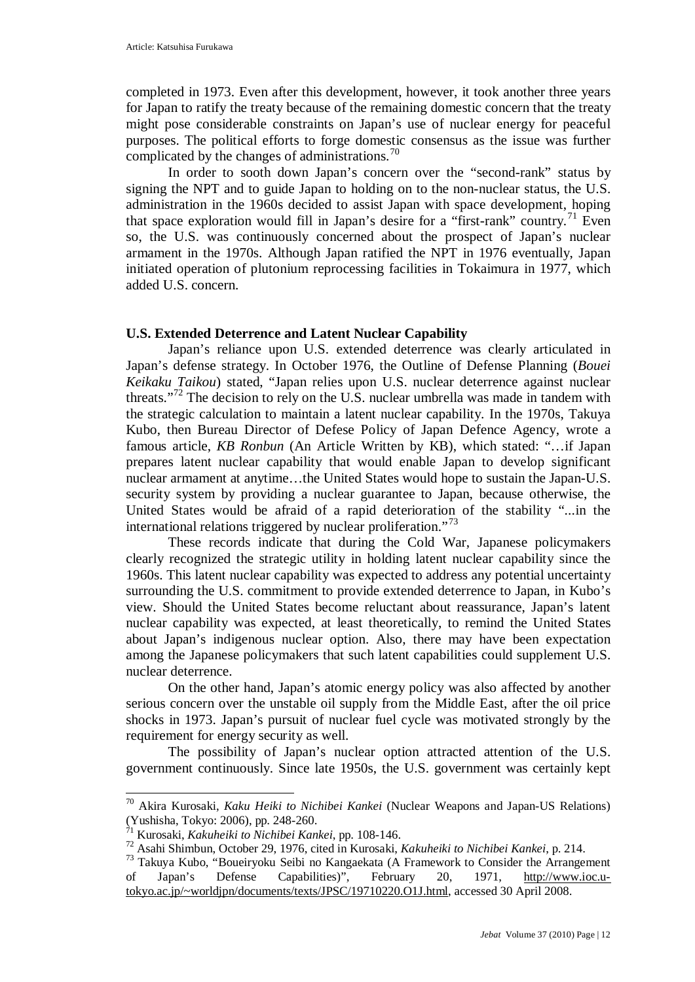completed in 1973. Even after this development, however, it took another three years for Japan to ratify the treaty because of the remaining domestic concern that the treaty might pose considerable constraints on Japan's use of nuclear energy for peaceful purposes. The political efforts to forge domestic consensus as the issue was further complicated by the changes of administrations.<sup>[70](#page-11-0)</sup>

In order to sooth down Japan's concern over the "second-rank" status by signing the NPT and to guide Japan to holding on to the non-nuclear status, the U.S. administration in the 1960s decided to assist Japan with space development, hoping that space exploration would fill in Japan's desire for a "first-rank" country.<sup>[71](#page-11-1)</sup> Even so, the U.S. was continuously concerned about the prospect of Japan's nuclear armament in the 1970s. Although Japan ratified the NPT in 1976 eventually, Japan initiated operation of plutonium reprocessing facilities in Tokaimura in 1977, which added U.S. concern.

## **U.S. Extended Deterrence and Latent Nuclear Capability**

Japan's reliance upon U.S. extended deterrence was clearly articulated in Japan's defense strategy. In October 1976, the Outline of Defense Planning (*Bouei Keikaku Taikou*) stated, "Japan relies upon U.S. nuclear deterrence against nuclear threats."<sup>[72](#page-11-2)</sup> The decision to rely on the U.S. nuclear umbrella was made in tandem with the strategic calculation to maintain a latent nuclear capability. In the 1970s, Takuya Kubo, then Bureau Director of Defese Policy of Japan Defence Agency, wrote a famous article, *KB Ronbun* (An Article Written by KB), which stated: "…if Japan prepares latent nuclear capability that would enable Japan to develop significant nuclear armament at anytime…the United States would hope to sustain the Japan-U.S. security system by providing a nuclear guarantee to Japan, because otherwise, the United States would be afraid of a rapid deterioration of the stability "...in the international relations triggered by nuclear proliferation."<sup>[73](#page-11-3)</sup>

These records indicate that during the Cold War, Japanese policymakers clearly recognized the strategic utility in holding latent nuclear capability since the 1960s. This latent nuclear capability was expected to address any potential uncertainty surrounding the U.S. commitment to provide extended deterrence to Japan, in Kubo's view. Should the United States become reluctant about reassurance, Japan's latent nuclear capability was expected, at least theoretically, to remind the United States about Japan's indigenous nuclear option. Also, there may have been expectation among the Japanese policymakers that such latent capabilities could supplement U.S. nuclear deterrence.

On the other hand, Japan's atomic energy policy was also affected by another serious concern over the unstable oil supply from the Middle East, after the oil price shocks in 1973. Japan's pursuit of nuclear fuel cycle was motivated strongly by the requirement for energy security as well.

The possibility of Japan's nuclear option attracted attention of the U.S. government continuously. Since late 1950s, the U.S. government was certainly kept

<span id="page-11-0"></span> <sup>70</sup> Akira Kurosaki, *Kaku Heiki to Nichibei Kankei* (Nuclear Weapons and Japan-US Relations) (Yushisha, Tokyo: 2006), pp. 248-260.

<sup>71</sup> Kurosaki, *Kakuheiki to Nichibei Kankei*, pp. 108-146.

<span id="page-11-2"></span><span id="page-11-1"></span><sup>72</sup> Asahi Shimbun, October 29, 1976, cited in Kurosaki, *Kakuheiki to Nichibei Kankei*, p. 214.

<span id="page-11-3"></span><sup>73</sup> Takuya Kubo, "Boueiryoku Seibi no Kangaekata (A Framework to Consider the Arrangement of Japan's Defense Capabilities)", February 20, 1971, [http://www.ioc.u](http://www.ioc.u-tokyo.ac.jp/~worldjpn/documents/texts/JPSC/19710220.O1J.html)[tokyo.ac.jp/~worldjpn/documents/texts/JPSC/19710220.O1J.html,](http://www.ioc.u-tokyo.ac.jp/~worldjpn/documents/texts/JPSC/19710220.O1J.html) accessed 30 April 2008.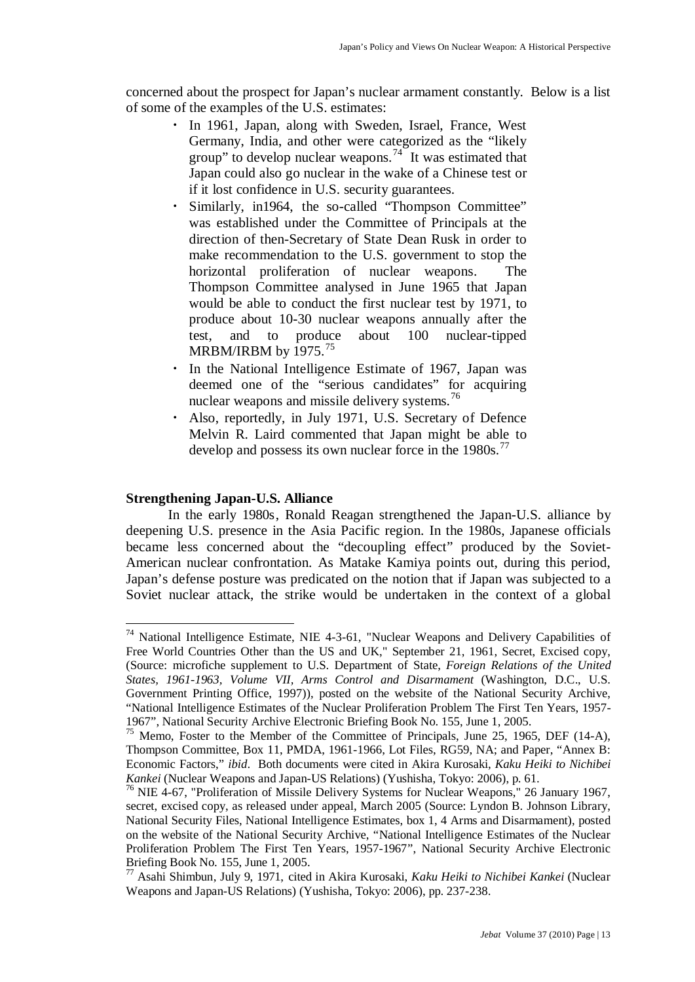concerned about the prospect for Japan's nuclear armament constantly. Below is a list of some of the examples of the U.S. estimates:

- ・ In 1961, Japan, along with Sweden, Israel, France, West Germany, India, and other were categorized as the "likely group" to develop nuclear weapons. $74$  It was estimated that Japan could also go nuclear in the wake of a Chinese test or if it lost confidence in U.S. security guarantees.
- Similarly, in1964, the so-called "Thompson Committee" was established under the Committee of Principals at the direction of then-Secretary of State Dean Rusk in order to make recommendation to the U.S. government to stop the horizontal proliferation of nuclear weapons. The Thompson Committee analysed in June 1965 that Japan would be able to conduct the first nuclear test by 1971, to produce about 10-30 nuclear weapons annually after the test, and to produce about 100 nuclear-tipped MRBM/IRBM by 19[75](#page-12-1).<sup>75</sup>
- In the National Intelligence Estimate of 1967, Japan was deemed one of the "serious candidates" for acquiring nuclear weapons and missile delivery systems.<sup>[76](#page-12-2)</sup>
- ・ Also, reportedly, in July 1971, U.S. Secretary of Defence Melvin R. Laird commented that Japan might be able to develop and possess its own nuclear force in the 1980s.<sup>[77](#page-12-3)</sup>

## **Strengthening Japan-U.S. Alliance**

In the early 1980s, Ronald Reagan strengthened the Japan-U.S. alliance by deepening U.S. presence in the Asia Pacific region. In the 1980s, Japanese officials became less concerned about the "decoupling effect" produced by the Soviet-American nuclear confrontation. As Matake Kamiya points out, during this period, Japan's defense posture was predicated on the notion that if Japan was subjected to a Soviet nuclear attack, the strike would be undertaken in the context of a global

<span id="page-12-0"></span> <sup>74</sup> National Intelligence Estimate, NIE 4-3-61, "Nuclear Weapons and Delivery Capabilities of Free World Countries Other than the US and UK," September 21, 1961, Secret, Excised copy, (Source: microfiche supplement to U.S. Department of State, *Foreign Relations of the United States, 1961-1963, Volume VII, Arms Control and Disarmament* (Washington, D.C., U.S. Government Printing Office, 1997)), posted on the website of the National Security Archive, "National Intelligence Estimates of the Nuclear Proliferation Problem The First Ten Years, 1957- 1967", National Security Archive Electronic Briefing Book No. 155, June 1, 2005.

<span id="page-12-1"></span><sup>&</sup>lt;sup>75</sup> Memo, Foster to the Member of the Committee of Principals, June 25, 1965, DEF (14-A), Thompson Committee, Box 11, PMDA, 1961-1966, Lot Files, RG59, NA; and Paper, "Annex B: Economic Factors," *ibid*. Both documents were cited in Akira Kurosaki, *Kaku Heiki to Nichibei Kankei* (Nuclear Weapons and Japan-US Relations) (Yushisha, Tokyo: 2006), p. 61.

<span id="page-12-2"></span><sup>&</sup>lt;sup>76</sup> NIE 4-67, "Proliferation of Missile Delivery Systems for Nuclear Weapons," 26 January 1967, secret, excised copy, as released under appeal, March 2005 (Source: Lyndon B. Johnson Library, National Security Files, National Intelligence Estimates, box 1, 4 Arms and Disarmament), posted on the website of the National Security Archive, "National Intelligence Estimates of the Nuclear Proliferation Problem The First Ten Years, 1957-1967", National Security Archive Electronic Briefing Book No. 155, June 1, 2005.

<span id="page-12-3"></span><sup>77</sup> Asahi Shimbun, July 9, 1971, cited in Akira Kurosaki, *Kaku Heiki to Nichibei Kankei* (Nuclear Weapons and Japan-US Relations) (Yushisha, Tokyo: 2006), pp. 237-238.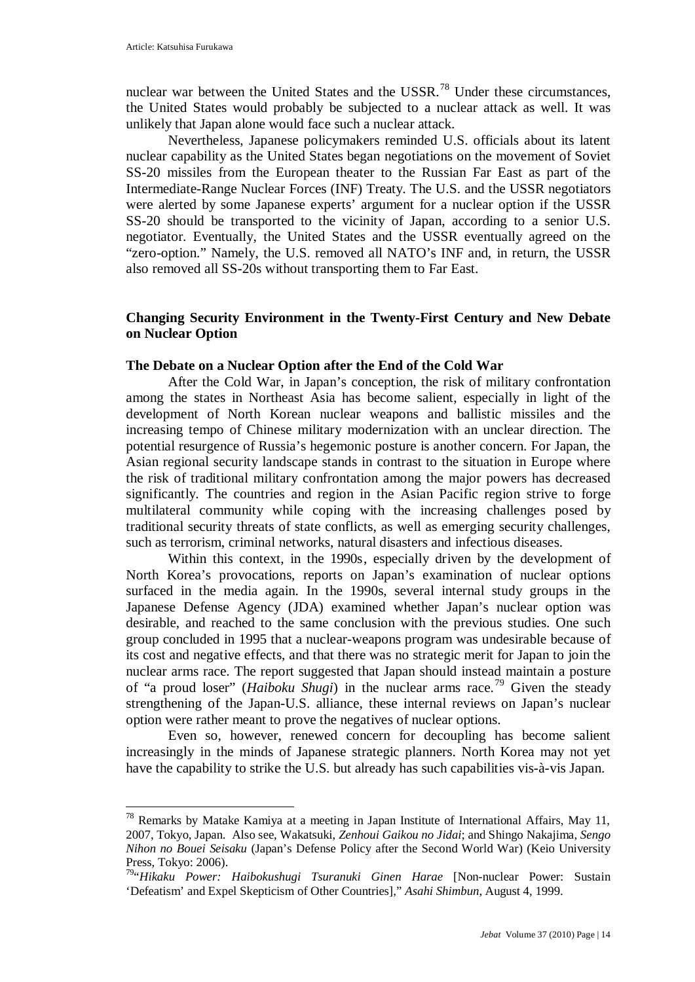nuclear war between the United States and the USSR.<sup>[78](#page-13-0)</sup> Under these circumstances, the United States would probably be subjected to a nuclear attack as well. It was unlikely that Japan alone would face such a nuclear attack.

Nevertheless, Japanese policymakers reminded U.S. officials about its latent nuclear capability as the United States began negotiations on the movement of Soviet SS-20 missiles from the European theater to the Russian Far East as part of the Intermediate-Range Nuclear Forces (INF) Treaty. The U.S. and the USSR negotiators were alerted by some Japanese experts' argument for a nuclear option if the USSR SS-20 should be transported to the vicinity of Japan, according to a senior U.S. negotiator. Eventually, the United States and the USSR eventually agreed on the "zero-option." Namely, the U.S. removed all NATO's INF and, in return, the USSR also removed all SS-20s without transporting them to Far East.

## **Changing Security Environment in the Twenty-First Century and New Debate on Nuclear Option**

## **The Debate on a Nuclear Option after the End of the Cold War**

After the Cold War, in Japan's conception, the risk of military confrontation among the states in Northeast Asia has become salient, especially in light of the development of North Korean nuclear weapons and ballistic missiles and the increasing tempo of Chinese military modernization with an unclear direction. The potential resurgence of Russia's hegemonic posture is another concern. For Japan, the Asian regional security landscape stands in contrast to the situation in Europe where the risk of traditional military confrontation among the major powers has decreased significantly. The countries and region in the Asian Pacific region strive to forge multilateral community while coping with the increasing challenges posed by traditional security threats of state conflicts, as well as emerging security challenges, such as terrorism, criminal networks, natural disasters and infectious diseases.

Within this context, in the 1990s, especially driven by the development of North Korea's provocations, reports on Japan's examination of nuclear options surfaced in the media again. In the 1990s, several internal study groups in the Japanese Defense Agency (JDA) examined whether Japan's nuclear option was desirable, and reached to the same conclusion with the previous studies. One such group concluded in 1995 that a nuclear-weapons program was undesirable because of its cost and negative effects, and that there was no strategic merit for Japan to join the nuclear arms race. The report suggested that Japan should instead maintain a posture of "a proud loser" (*Haiboku Shugi*) in the nuclear arms race.<sup>[79](#page-13-1)</sup> Given the steady strengthening of the Japan-U.S. alliance, these internal reviews on Japan's nuclear option were rather meant to prove the negatives of nuclear options.

Even so, however, renewed concern for decoupling has become salient increasingly in the minds of Japanese strategic planners. North Korea may not yet have the capability to strike the U.S. but already has such capabilities vis-à-vis Japan.

<span id="page-13-0"></span> <sup>78</sup> Remarks by Matake Kamiya at a meeting in Japan Institute of International Affairs, May 11, 2007, Tokyo, Japan. Also see, Wakatsuki, *Zenhoui Gaikou no Jidai*; and Shingo Nakajima, *Sengo Nihon no Bouei Seisaku* (Japan's Defense Policy after the Second World War) (Keio University Press, Tokyo: 2006).

<span id="page-13-1"></span><sup>79&</sup>quot;*Hikaku Power: Haibokushugi Tsuranuki Ginen Harae* [Non-nuclear Power: Sustain 'Defeatism' and Expel Skepticism of Other Countries]," *Asahi Shimbun*, August 4, 1999.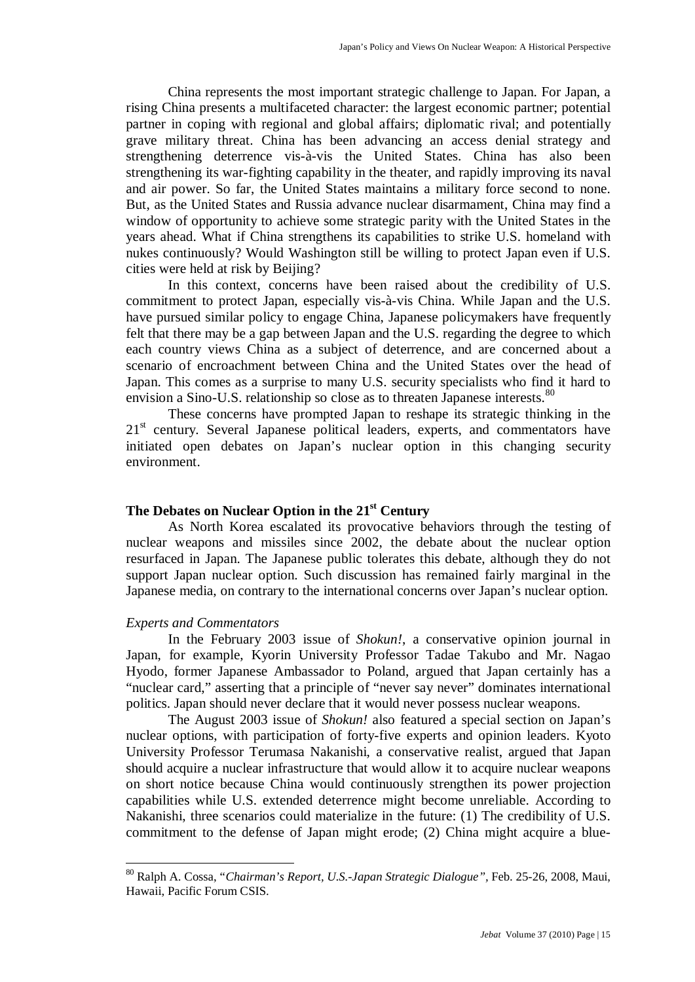China represents the most important strategic challenge to Japan. For Japan, a rising China presents a multifaceted character: the largest economic partner; potential partner in coping with regional and global affairs; diplomatic rival; and potentially grave military threat. China has been advancing an access denial strategy and strengthening deterrence vis-à-vis the United States. China has also been strengthening its war-fighting capability in the theater, and rapidly improving its naval and air power. So far, the United States maintains a military force second to none. But, as the United States and Russia advance nuclear disarmament, China may find a window of opportunity to achieve some strategic parity with the United States in the years ahead. What if China strengthens its capabilities to strike U.S. homeland with nukes continuously? Would Washington still be willing to protect Japan even if U.S. cities were held at risk by Beijing?

In this context, concerns have been raised about the credibility of U.S. commitment to protect Japan, especially vis-à-vis China. While Japan and the U.S. have pursued similar policy to engage China, Japanese policymakers have frequently felt that there may be a gap between Japan and the U.S. regarding the degree to which each country views China as a subject of deterrence, and are concerned about a scenario of encroachment between China and the United States over the head of Japan. This comes as a surprise to many U.S. security specialists who find it hard to envision a Sino-U.S. relationship so close as to threaten Japanese interests.<sup>[80](#page-14-0)</sup>

These concerns have prompted Japan to reshape its strategic thinking in the 21<sup>st</sup> century. Several Japanese political leaders, experts, and commentators have initiated open debates on Japan's nuclear option in this changing security environment.

# **The Debates on Nuclear Option in the 21st Century**

As North Korea escalated its provocative behaviors through the testing of nuclear weapons and missiles since 2002, the debate about the nuclear option resurfaced in Japan. The Japanese public tolerates this debate, although they do not support Japan nuclear option. Such discussion has remained fairly marginal in the Japanese media, on contrary to the international concerns over Japan's nuclear option.

### *Experts and Commentators*

In the February 2003 issue of *Shokun!*, a conservative opinion journal in Japan, for example, Kyorin University Professor Tadae Takubo and Mr. Nagao Hyodo, former Japanese Ambassador to Poland, argued that Japan certainly has a "nuclear card," asserting that a principle of "never say never" dominates international politics. Japan should never declare that it would never possess nuclear weapons.

The August 2003 issue of *Shokun!* also featured a special section on Japan's nuclear options, with participation of forty-five experts and opinion leaders. Kyoto University Professor Terumasa Nakanishi, a conservative realist, argued that Japan should acquire a nuclear infrastructure that would allow it to acquire nuclear weapons on short notice because China would continuously strengthen its power projection capabilities while U.S. extended deterrence might become unreliable. According to Nakanishi, three scenarios could materialize in the future: (1) The credibility of U.S. commitment to the defense of Japan might erode; (2) China might acquire a blue-

<span id="page-14-0"></span> <sup>80</sup> Ralph A. Cossa, "*Chairman's Report, U.S.-Japan Strategic Dialogue",* Feb. 25-26, 2008, Maui, Hawaii, Pacific Forum CSIS.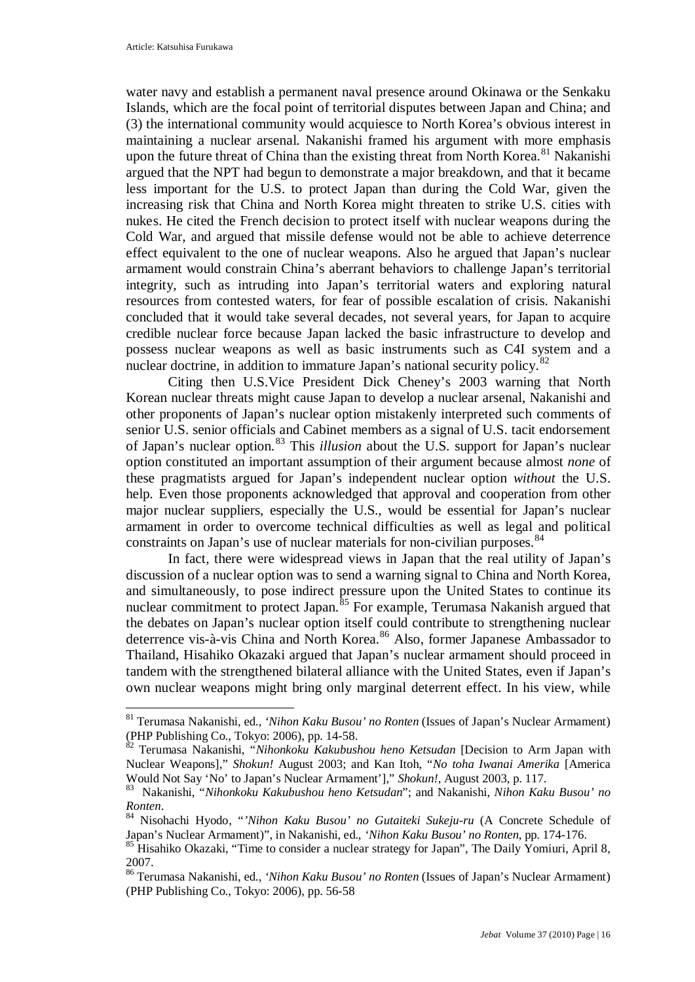water navy and establish a permanent naval presence around Okinawa or the Senkaku Islands, which are the focal point of territorial disputes between Japan and China; and (3) the international community would acquiesce to North Korea's obvious interest in maintaining a nuclear arsenal. Nakanishi framed his argument with more emphasis upon the future threat of China than the existing threat from North Korea.<sup>[81](#page-15-0)</sup> Nakanishi argued that the NPT had begun to demonstrate a major breakdown, and that it became less important for the U.S. to protect Japan than during the Cold War, given the increasing risk that China and North Korea might threaten to strike U.S. cities with nukes. He cited the French decision to protect itself with nuclear weapons during the Cold War, and argued that missile defense would not be able to achieve deterrence effect equivalent to the one of nuclear weapons. Also he argued that Japan's nuclear armament would constrain China's aberrant behaviors to challenge Japan's territorial integrity, such as intruding into Japan's territorial waters and exploring natural resources from contested waters, for fear of possible escalation of crisis. Nakanishi concluded that it would take several decades, not several years, for Japan to acquire credible nuclear force because Japan lacked the basic infrastructure to develop and possess nuclear weapons as well as basic instruments such as C4I system and a nuclear doctrine, in addition to immature Japan's national security policy.<sup>[82](#page-15-1)</sup>

Citing then U.S.Vice President Dick Cheney's 2003 warning that North Korean nuclear threats might cause Japan to develop a nuclear arsenal, Nakanishi and other proponents of Japan's nuclear option mistakenly interpreted such comments of senior U.S. senior officials and Cabinet members as a signal of U.S. tacit endorsement of Japan's nuclear option.[83](#page-15-2) This *illusion* about the U.S. support for Japan's nuclear option constituted an important assumption of their argument because almost *none* of these pragmatists argued for Japan's independent nuclear option *without* the U.S. help. Even those proponents acknowledged that approval and cooperation from other major nuclear suppliers, especially the U.S., would be essential for Japan's nuclear armament in order to overcome technical difficulties as well as legal and political constraints on Japan's use of nuclear materials for non-civilian purposes.<sup>[84](#page-15-3)</sup>

In fact, there were widespread views in Japan that the real utility of Japan's discussion of a nuclear option was to send a warning signal to China and North Korea, and simultaneously, to pose indirect pressure upon the United States to continue its nuclear commitment to protect Japan.<sup>[85](#page-15-4)</sup> For example, Terumasa Nakanish argued that the debates on Japan's nuclear option itself could contribute to strengthening nuclear deterrence vis-à-vis China and North Korea.<sup>[86](#page-15-5)</sup> Also, former Japanese Ambassador to Thailand, Hisahiko Okazaki argued that Japan's nuclear armament should proceed in tandem with the strengthened bilateral alliance with the United States, even if Japan's own nuclear weapons might bring only marginal deterrent effect. In his view, while

<span id="page-15-0"></span> <sup>81</sup> Terumasa Nakanishi, ed., *'Nihon Kaku Busou' no Ronten* (Issues of Japan's Nuclear Armament) (PHP Publishing Co., Tokyo: 2006), pp. 14-58.

<span id="page-15-1"></span><sup>82</sup> Terumasa Nakanishi, "*Nihonkoku Kakubushou heno Ketsudan* [Decision to Arm Japan with Nuclear Weapons]," *Shokun!* August 2003; and Kan Itoh, "*No toha Iwanai Amerika* [America Would Not Say 'No' to Japan's Nuclear Armament']," *Shokun!*, August 2003, p. 117.

<sup>83</sup> Nakanishi, "*Nihonkoku Kakubushou heno Ketsudan*"; and Nakanishi, *Nihon Kaku Busou' no* 

<span id="page-15-3"></span><span id="page-15-2"></span>*Ronten*. <sup>84</sup> Nisohachi Hyodo, "*'Nihon Kaku Busou' no Gutaiteki Sukeju-ru* (A Concrete Schedule of Japan's Nuclear Armament)", in Nakanishi, ed., *'Nihon Kaku Busou' no Ronten*, pp. 174-176.

<span id="page-15-4"></span><sup>&</sup>lt;sup>85</sup> Hisahiko Okazaki, "Time to consider a nuclear strategy for Japan", The Daily Yomiuri, April 8, 2007.

<span id="page-15-5"></span><sup>86</sup> Terumasa Nakanishi, ed., *'Nihon Kaku Busou' no Ronten* (Issues of Japan's Nuclear Armament) (PHP Publishing Co., Tokyo: 2006), pp. 56-58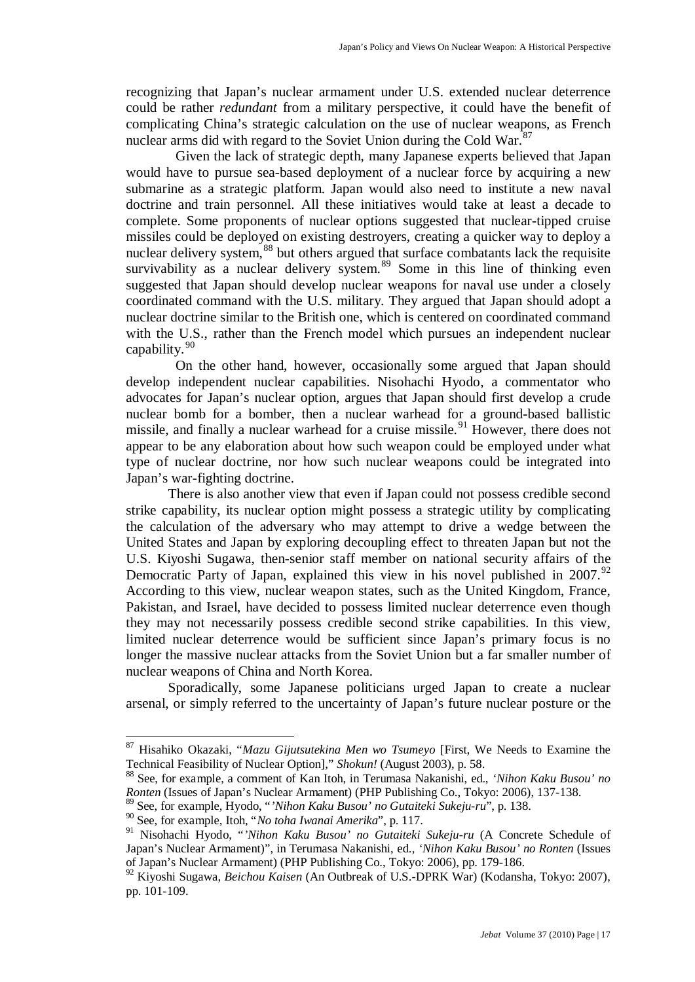recognizing that Japan's nuclear armament under U.S. extended nuclear deterrence could be rather *redundant* from a military perspective, it could have the benefit of complicating China's strategic calculation on the use of nuclear weapons, as French nuclear arms did with regard to the Soviet Union during the Cold War.<sup>[87](#page-16-0)</sup>

Given the lack of strategic depth, many Japanese experts believed that Japan would have to pursue sea-based deployment of a nuclear force by acquiring a new submarine as a strategic platform. Japan would also need to institute a new naval doctrine and train personnel. All these initiatives would take at least a decade to complete. Some proponents of nuclear options suggested that nuclear-tipped cruise missiles could be deployed on existing destroyers, creating a quicker way to deploy a nuclear delivery system,<sup>[88](#page-16-1)</sup> but others argued that surface combatants lack the requisite survivability as a nuclear delivery system.<sup>[89](#page-16-2)</sup> Some in this line of thinking even suggested that Japan should develop nuclear weapons for naval use under a closely coordinated command with the U.S. military. They argued that Japan should adopt a nuclear doctrine similar to the British one, which is centered on coordinated command with the U.S., rather than the French model which pursues an independent nuclear capability.[90](#page-16-3)

On the other hand, however, occasionally some argued that Japan should develop independent nuclear capabilities. Nisohachi Hyodo, a commentator who advocates for Japan's nuclear option, argues that Japan should first develop a crude nuclear bomb for a bomber, then a nuclear warhead for a ground-based ballistic missile, and finally a nuclear warhead for a cruise missile.<sup>[91](#page-16-4)</sup> However, there does not appear to be any elaboration about how such weapon could be employed under what type of nuclear doctrine, nor how such nuclear weapons could be integrated into Japan's war-fighting doctrine.

There is also another view that even if Japan could not possess credible second strike capability, its nuclear option might possess a strategic utility by complicating the calculation of the adversary who may attempt to drive a wedge between the United States and Japan by exploring decoupling effect to threaten Japan but not the U.S. Kiyoshi Sugawa, then-senior staff member on national security affairs of the Democratic Party of Japan, explained this view in his novel published in 2007.<sup>[92](#page-16-5)</sup> According to this view, nuclear weapon states, such as the United Kingdom, France, Pakistan, and Israel, have decided to possess limited nuclear deterrence even though they may not necessarily possess credible second strike capabilities. In this view, limited nuclear deterrence would be sufficient since Japan's primary focus is no longer the massive nuclear attacks from the Soviet Union but a far smaller number of nuclear weapons of China and North Korea.

Sporadically, some Japanese politicians urged Japan to create a nuclear arsenal, or simply referred to the uncertainty of Japan's future nuclear posture or the

<span id="page-16-0"></span> <sup>87</sup> Hisahiko Okazaki, "*Mazu Gijutsutekina Men wo Tsumeyo* [First, We Needs to Examine the Technical Feasibility of Nuclear Option]," *Shokun!* (August 2003), p. 58.

<span id="page-16-1"></span><sup>88</sup> See, for example, a comment of Kan Itoh, in Terumasa Nakanishi, ed., *'Nihon Kaku Busou' no Ronten* (Issues of Japan's Nuclear Armament) (PHP Publishing Co., Tokyo: 2006), 137-138.

<span id="page-16-2"></span><sup>&</sup>lt;sup>89</sup> See, for example, Hyodo, "*'Nihon Kaku Busou' no Gutaiteki Sukeju-ru*", p. 138.<br><sup>90</sup> See, for example, Itoh, "*No toha Iwanai Amerika*", p. 117.

<span id="page-16-4"></span><span id="page-16-3"></span><sup>90</sup> See, for example, Itoh, "*No toha Iwanai Amerika*", p. 117. <sup>91</sup> Nisohachi Hyodo, "*'Nihon Kaku Busou' no Gutaiteki Sukeju-ru* (A Concrete Schedule of Japan's Nuclear Armament)", in Terumasa Nakanishi, ed., *'Nihon Kaku Busou' no Ronten* (Issues of Japan's Nuclear Armament) (PHP Publishing Co., Tokyo: 2006), pp. 179-186.

<span id="page-16-5"></span><sup>92</sup> Kiyoshi Sugawa, *Beichou Kaisen* (An Outbreak of U.S.-DPRK War) (Kodansha, Tokyo: 2007), pp. 101-109.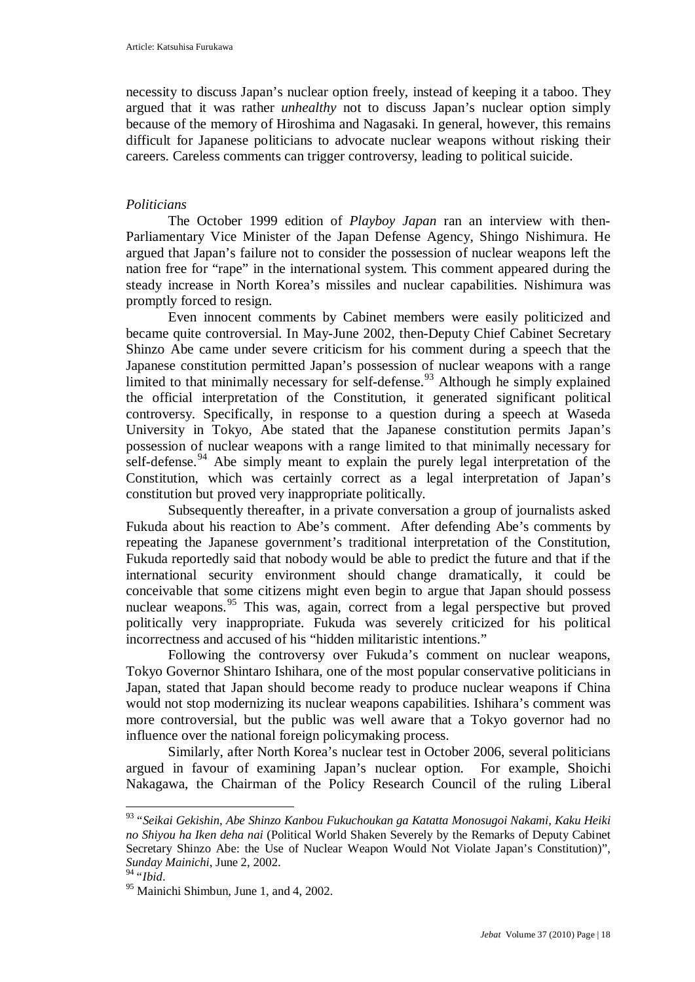necessity to discuss Japan's nuclear option freely, instead of keeping it a taboo. They argued that it was rather *unhealthy* not to discuss Japan's nuclear option simply because of the memory of Hiroshima and Nagasaki. In general, however, this remains difficult for Japanese politicians to advocate nuclear weapons without risking their careers. Careless comments can trigger controversy, leading to political suicide.

## *Politicians*

The October 1999 edition of *Playboy Japan* ran an interview with then-Parliamentary Vice Minister of the Japan Defense Agency, Shingo Nishimura. He argued that Japan's failure not to consider the possession of nuclear weapons left the nation free for "rape" in the international system. This comment appeared during the steady increase in North Korea's missiles and nuclear capabilities. Nishimura was promptly forced to resign.

Even innocent comments by Cabinet members were easily politicized and became quite controversial. In May-June 2002, then-Deputy Chief Cabinet Secretary Shinzo Abe came under severe criticism for his comment during a speech that the Japanese constitution permitted Japan's possession of nuclear weapons with a range limited to that minimally necessary for self-defense.<sup>[93](#page-17-0)</sup> Although he simply explained the official interpretation of the Constitution, it generated significant political controversy. Specifically, in response to a question during a speech at Waseda University in Tokyo, Abe stated that the Japanese constitution permits Japan's possession of nuclear weapons with a range limited to that minimally necessary for self-defense.<sup>[94](#page-17-1)</sup> Abe simply meant to explain the purely legal interpretation of the Constitution, which was certainly correct as a legal interpretation of Japan's constitution but proved very inappropriate politically.

Subsequently thereafter, in a private conversation a group of journalists asked Fukuda about his reaction to Abe's comment. After defending Abe's comments by repeating the Japanese government's traditional interpretation of the Constitution, Fukuda reportedly said that nobody would be able to predict the future and that if the international security environment should change dramatically, it could be conceivable that some citizens might even begin to argue that Japan should possess nuclear weapons.<sup>[95](#page-17-2)</sup> This was, again, correct from a legal perspective but proved politically very inappropriate. Fukuda was severely criticized for his political incorrectness and accused of his "hidden militaristic intentions."

Following the controversy over Fukuda's comment on nuclear weapons, Tokyo Governor Shintaro Ishihara, one of the most popular conservative politicians in Japan, stated that Japan should become ready to produce nuclear weapons if China would not stop modernizing its nuclear weapons capabilities. Ishihara's comment was more controversial, but the public was well aware that a Tokyo governor had no influence over the national foreign policymaking process.

Similarly, after North Korea's nuclear test in October 2006, several politicians argued in favour of examining Japan's nuclear option. For example, Shoichi Nakagawa, the Chairman of the Policy Research Council of the ruling Liberal

<span id="page-17-0"></span> <sup>93</sup> "*Seikai Gekishin, Abe Shinzo Kanbou Fukuchoukan ga Katatta Monosugoi Nakami, Kaku Heiki no Shiyou ha Iken deha nai* (Political World Shaken Severely by the Remarks of Deputy Cabinet Secretary Shinzo Abe: the Use of Nuclear Weapon Would Not Violate Japan's Constitution)", *Sunday Mainichi*, June 2, 2002.

<span id="page-17-2"></span><span id="page-17-1"></span><sup>&</sup>lt;sup>95</sup> Mainichi Shimbun, June 1, and 4, 2002.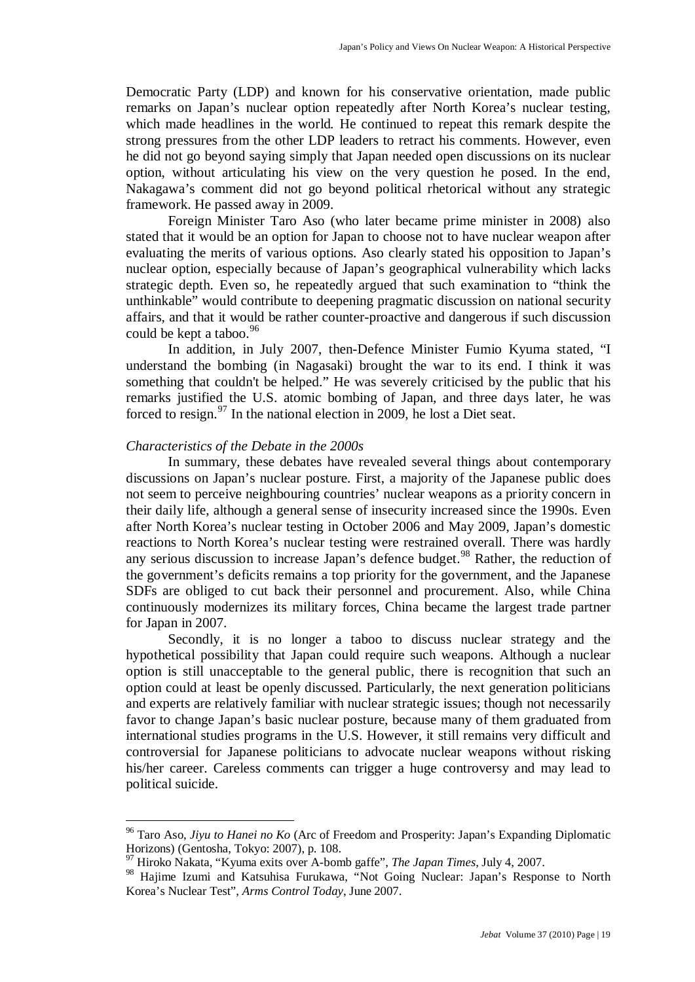Democratic Party (LDP) and known for his conservative orientation, made public remarks on Japan's nuclear option repeatedly after North Korea's nuclear testing, which made headlines in the world. He continued to repeat this remark despite the strong pressures from the other LDP leaders to retract his comments. However, even he did not go beyond saying simply that Japan needed open discussions on its nuclear option, without articulating his view on the very question he posed. In the end, Nakagawa's comment did not go beyond political rhetorical without any strategic framework. He passed away in 2009.

Foreign Minister Taro Aso (who later became prime minister in 2008) also stated that it would be an option for Japan to choose not to have nuclear weapon after evaluating the merits of various options. Aso clearly stated his opposition to Japan's nuclear option, especially because of Japan's geographical vulnerability which lacks strategic depth. Even so, he repeatedly argued that such examination to "think the unthinkable" would contribute to deepening pragmatic discussion on national security affairs, and that it would be rather counter-proactive and dangerous if such discussion could be kept a taboo.<sup>[96](#page-18-0)</sup>

In addition, in July 2007, then-Defence Minister Fumio Kyuma stated, "I understand the bombing (in Nagasaki) brought the war to its end. I think it was something that couldn't be helped." He was severely criticised by the public that his remarks justified the U.S. atomic bombing of Japan, and three days later, he was forced to resign.<sup>[97](#page-18-1)</sup> In the national election in 2009, he lost a Diet seat.

## *Characteristics of the Debate in the 2000s*

In summary, these debates have revealed several things about contemporary discussions on Japan's nuclear posture. First, a majority of the Japanese public does not seem to perceive neighbouring countries' nuclear weapons as a priority concern in their daily life, although a general sense of insecurity increased since the 1990s. Even after North Korea's nuclear testing in October 2006 and May 2009, Japan's domestic reactions to North Korea's nuclear testing were restrained overall. There was hardly any serious discussion to increase Japan's defence budget.<sup>[98](#page-18-2)</sup> Rather, the reduction of the government's deficits remains a top priority for the government, and the Japanese SDFs are obliged to cut back their personnel and procurement. Also, while China continuously modernizes its military forces, China became the largest trade partner for Japan in 2007.

Secondly, it is no longer a taboo to discuss nuclear strategy and the hypothetical possibility that Japan could require such weapons. Although a nuclear option is still unacceptable to the general public, there is recognition that such an option could at least be openly discussed. Particularly, the next generation politicians and experts are relatively familiar with nuclear strategic issues; though not necessarily favor to change Japan's basic nuclear posture, because many of them graduated from international studies programs in the U.S. However, it still remains very difficult and controversial for Japanese politicians to advocate nuclear weapons without risking his/her career. Careless comments can trigger a huge controversy and may lead to political suicide.

<span id="page-18-0"></span> <sup>96</sup> Taro Aso, *Jiyu to Hanei no Ko* (Arc of Freedom and Prosperity: Japan's Expanding Diplomatic Horizons) (Gentosha, Tokyo: 2007), p. 108.

<sup>97</sup> Hiroko Nakata, "Kyuma exits over A-bomb gaffe", *The Japan Times*, July 4, 2007.

<span id="page-18-2"></span><span id="page-18-1"></span><sup>98</sup> Hajime Izumi and Katsuhisa Furukawa, "Not Going Nuclear: Japan's Response to North Korea's Nuclear Test", *Arms Control Today*, June 2007.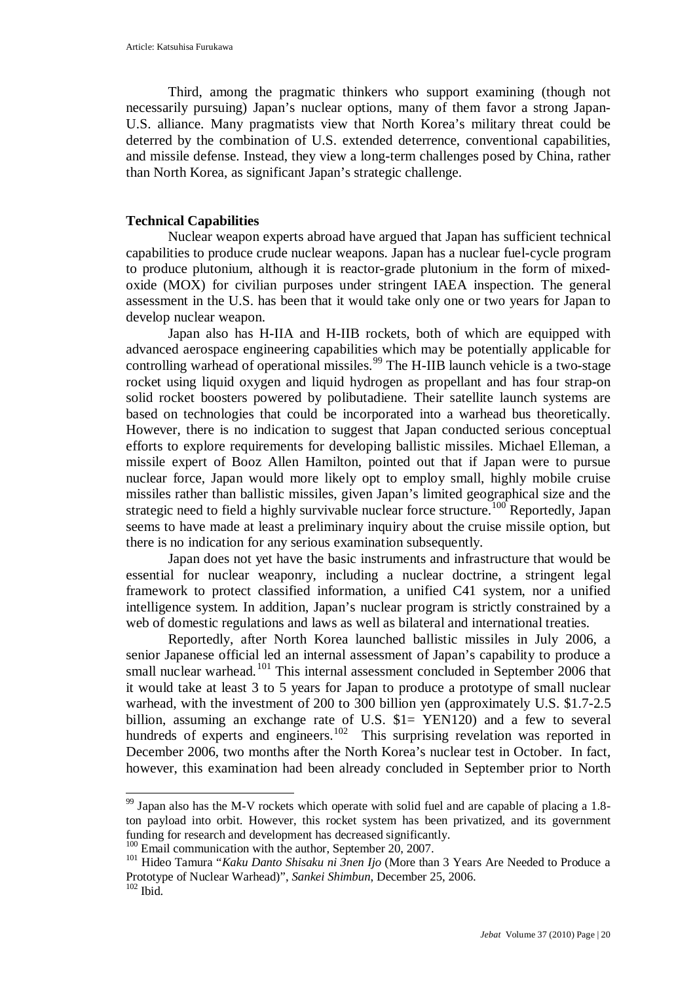Third, among the pragmatic thinkers who support examining (though not necessarily pursuing) Japan's nuclear options, many of them favor a strong Japan-U.S. alliance. Many pragmatists view that North Korea's military threat could be deterred by the combination of U.S. extended deterrence, conventional capabilities, and missile defense. Instead, they view a long-term challenges posed by China, rather than North Korea, as significant Japan's strategic challenge.

## **Technical Capabilities**

Nuclear weapon experts abroad have argued that Japan has sufficient technical capabilities to produce crude nuclear weapons. Japan has a nuclear fuel-cycle program to produce plutonium, although it is reactor-grade plutonium in the form of mixedoxide (MOX) for civilian purposes under stringent IAEA inspection. The general assessment in the U.S. has been that it would take only one or two years for Japan to develop nuclear weapon.

Japan also has H-IIA and H-IIB rockets, both of which are equipped with advanced aerospace engineering capabilities which may be potentially applicable for controlling warhead of operational missiles.<sup>[99](#page-19-0)</sup> The H-IIB launch vehicle is a two-stage rocket using liquid oxygen and liquid hydrogen as propellant and has four strap-on solid rocket boosters powered by polibutadiene. Their satellite launch systems are based on technologies that could be incorporated into a warhead bus theoretically. However, there is no indication to suggest that Japan conducted serious conceptual efforts to explore requirements for developing ballistic missiles. Michael Elleman, a missile expert of Booz Allen Hamilton, pointed out that if Japan were to pursue nuclear force, Japan would more likely opt to employ small, highly mobile cruise missiles rather than ballistic missiles, given Japan's limited geographical size and the strategic need to field a highly survivable nuclear force structure.<sup>[100](#page-19-1)</sup> Reportedly, Japan seems to have made at least a preliminary inquiry about the cruise missile option, but there is no indication for any serious examination subsequently.

Japan does not yet have the basic instruments and infrastructure that would be essential for nuclear weaponry, including a nuclear doctrine, a stringent legal framework to protect classified information, a unified C41 system, nor a unified intelligence system. In addition, Japan's nuclear program is strictly constrained by a web of domestic regulations and laws as well as bilateral and international treaties.

Reportedly, after North Korea launched ballistic missiles in July 2006, a senior Japanese official led an internal assessment of Japan's capability to produce a small nuclear warhead.<sup>[101](#page-19-2)</sup> This internal assessment concluded in September 2006 that it would take at least 3 to 5 years for Japan to produce a prototype of small nuclear warhead, with the investment of 200 to 300 billion yen (approximately U.S. \$1.7-2.5 billion, assuming an exchange rate of U.S. \$1= YEN120) and a few to several hundreds of experts and engineers.<sup>[102](#page-19-3)</sup> This surprising revelation was reported in December 2006, two months after the North Korea's nuclear test in October. In fact, however, this examination had been already concluded in September prior to North

<span id="page-19-0"></span><sup>&</sup>lt;sup>99</sup> Japan also has the M-V rockets which operate with solid fuel and are capable of placing a 1.8ton payload into orbit. However, this rocket system has been privatized, and its government

<span id="page-19-2"></span><span id="page-19-1"></span><sup>&</sup>lt;sup>100</sup> Email communication with the author, September 20, 2007.<br><sup>101</sup> Hideo Tamura "*Kaku Danto Shisaku ni 3nen Ijo* (More than 3 Years Are Needed to Produce a Prototype of Nuclear Warhead)", *Sankei Shimbun*, December 25, 2006.  $102$  Ibid.

<span id="page-19-3"></span>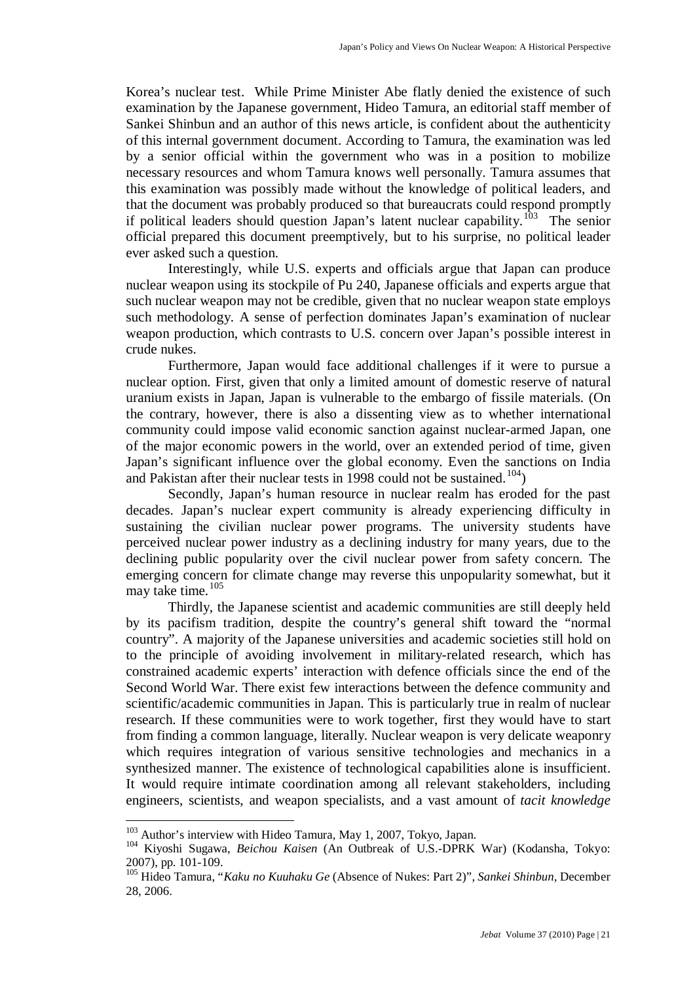Korea's nuclear test. While Prime Minister Abe flatly denied the existence of such examination by the Japanese government, Hideo Tamura, an editorial staff member of Sankei Shinbun and an author of this news article, is confident about the authenticity of this internal government document. According to Tamura, the examination was led by a senior official within the government who was in a position to mobilize necessary resources and whom Tamura knows well personally. Tamura assumes that this examination was possibly made without the knowledge of political leaders, and that the document was probably produced so that bureaucrats could respond promptly if political leaders should question Japan's latent nuclear capability.<sup>[103](#page-20-0)</sup> The senior official prepared this document preemptively, but to his surprise, no political leader ever asked such a question.

Interestingly, while U.S. experts and officials argue that Japan can produce nuclear weapon using its stockpile of Pu 240, Japanese officials and experts argue that such nuclear weapon may not be credible, given that no nuclear weapon state employs such methodology. A sense of perfection dominates Japan's examination of nuclear weapon production, which contrasts to U.S. concern over Japan's possible interest in crude nukes.

Furthermore, Japan would face additional challenges if it were to pursue a nuclear option. First, given that only a limited amount of domestic reserve of natural uranium exists in Japan, Japan is vulnerable to the embargo of fissile materials. (On the contrary, however, there is also a dissenting view as to whether international community could impose valid economic sanction against nuclear-armed Japan, one of the major economic powers in the world, over an extended period of time, given Japan's significant influence over the global economy. Even the sanctions on India and Pakistan after their nuclear tests in 1998 could not be sustained.<sup>[104](#page-20-1)</sup>)

Secondly, Japan's human resource in nuclear realm has eroded for the past decades. Japan's nuclear expert community is already experiencing difficulty in sustaining the civilian nuclear power programs. The university students have perceived nuclear power industry as a declining industry for many years, due to the declining public popularity over the civil nuclear power from safety concern. The emerging concern for climate change may reverse this unpopularity somewhat, but it may take time. [105](#page-20-2)

Thirdly, the Japanese scientist and academic communities are still deeply held by its pacifism tradition, despite the country's general shift toward the "normal country". A majority of the Japanese universities and academic societies still hold on to the principle of avoiding involvement in military-related research, which has constrained academic experts' interaction with defence officials since the end of the Second World War. There exist few interactions between the defence community and scientific/academic communities in Japan. This is particularly true in realm of nuclear research. If these communities were to work together, first they would have to start from finding a common language, literally. Nuclear weapon is very delicate weaponry which requires integration of various sensitive technologies and mechanics in a synthesized manner. The existence of technological capabilities alone is insufficient. It would require intimate coordination among all relevant stakeholders, including engineers, scientists, and weapon specialists, and a vast amount of *tacit knowledge*

<span id="page-20-1"></span><span id="page-20-0"></span><sup>&</sup>lt;sup>103</sup> Author's interview with Hideo Tamura, May 1, 2007, Tokyo, Japan.<br><sup>104</sup> Kiyoshi Sugawa, *Beichou Kaisen* (An Outbreak of U.S.-DPRK War) (Kodansha, Tokyo: 2007), pp. 101-109.

<span id="page-20-2"></span><sup>105</sup> Hideo Tamura, "*Kaku no Kuuhaku Ge* (Absence of Nukes: Part 2)", *Sankei Shinbun*, December 28, 2006.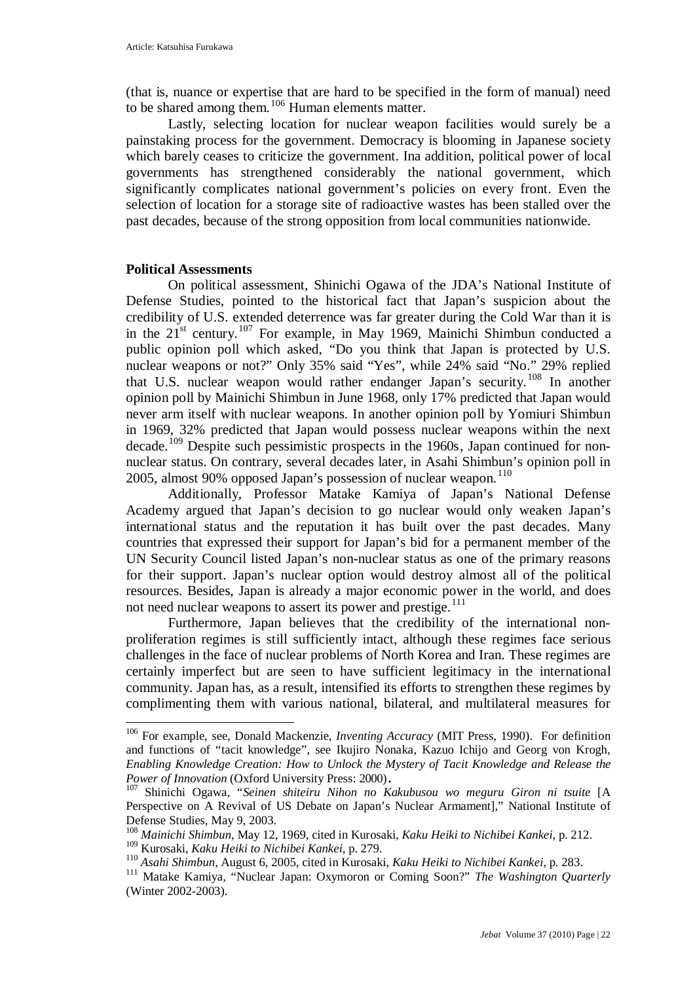(that is, nuance or expertise that are hard to be specified in the form of manual) need to be shared among them.<sup>[106](#page-21-0)</sup> Human elements matter.

Lastly, selecting location for nuclear weapon facilities would surely be a painstaking process for the government. Democracy is blooming in Japanese society which barely ceases to criticize the government. Ina addition, political power of local governments has strengthened considerably the national government, which significantly complicates national government's policies on every front. Even the selection of location for a storage site of radioactive wastes has been stalled over the past decades, because of the strong opposition from local communities nationwide.

### **Political Assessments**

On political assessment, Shinichi Ogawa of the JDA's National Institute of Defense Studies, pointed to the historical fact that Japan's suspicion about the credibility of U.S. extended deterrence was far greater during the Cold War than it is in the  $21^{st}$  century.<sup>[107](#page-21-1)</sup> For example, in May 1969, Mainichi Shimbun conducted a public opinion poll which asked, "Do you think that Japan is protected by U.S. nuclear weapons or not?" Only 35% said "Yes", while 24% said "No." 29% replied that U.S. nuclear weapon would rather endanger Japan's security.[108](#page-21-2) In another opinion poll by Mainichi Shimbun in June 1968, only 17% predicted that Japan would never arm itself with nuclear weapons. In another opinion poll by Yomiuri Shimbun in 1969, 32% predicted that Japan would possess nuclear weapons within the next decade.<sup>[109](#page-21-3)</sup> Despite such pessimistic prospects in the 1960s, Japan continued for nonnuclear status. On contrary, several decades later, in Asahi Shimbun's opinion poll in 2005, almost 90% opposed Japan's possession of nuclear weapon. $110$ 

Additionally, Professor Matake Kamiya of Japan's National Defense Academy argued that Japan's decision to go nuclear would only weaken Japan's international status and the reputation it has built over the past decades. Many countries that expressed their support for Japan's bid for a permanent member of the UN Security Council listed Japan's non-nuclear status as one of the primary reasons for their support. Japan's nuclear option would destroy almost all of the political resources. Besides, Japan is already a major economic power in the world, and does not need nuclear weapons to assert its power and prestige.<sup>[111](#page-21-5)</sup>

Furthermore, Japan believes that the credibility of the international nonproliferation regimes is still sufficiently intact, although these regimes face serious challenges in the face of nuclear problems of North Korea and Iran. These regimes are certainly imperfect but are seen to have sufficient legitimacy in the international community. Japan has, as a result, intensified its efforts to strengthen these regimes by complimenting them with various national, bilateral, and multilateral measures for

<span id="page-21-0"></span> <sup>106</sup> For example, see, Donald Mackenzie, *Inventing Accuracy* (MIT Press, 1990). For definition and functions of "tacit knowledge", see Ikujiro Nonaka, Kazuo Ichijo and Georg von Krogh, *Enabling Knowledge Creation: How to Unlock the Mystery of Tacit Knowledge and Release the* 

<span id="page-21-1"></span>*Power of Innovation* (Oxford University Press: 2000)**.** <sup>107</sup> Shinichi Ogawa, "*Seinen shiteiru Nihon no Kakubusou wo meguru Giron ni tsuite* [A Perspective on A Revival of US Debate on Japan's Nuclear Armament]," National Institute of Defense Studies, May 9, 2003.

<sup>108</sup> *Mainichi Shimbun*, May 12, 1969, cited in Kurosaki, *Kaku Heiki to Nichibei Kankei*, p. 212.

<span id="page-21-3"></span><span id="page-21-2"></span><sup>109</sup> Kurosaki, *Kaku Heiki to Nichibei Kankei*, p. 279.

<span id="page-21-4"></span><sup>110</sup> *Asahi Shimbun*, August 6, 2005, cited in Kurosaki, *Kaku Heiki to Nichibei Kankei*, p. 283.

<span id="page-21-5"></span><sup>&</sup>lt;sup>111</sup> Matake Kamiya, "Nuclear Japan: Oxymoron or Coming Soon?" *The Washington Quarterly* (Winter 2002-2003).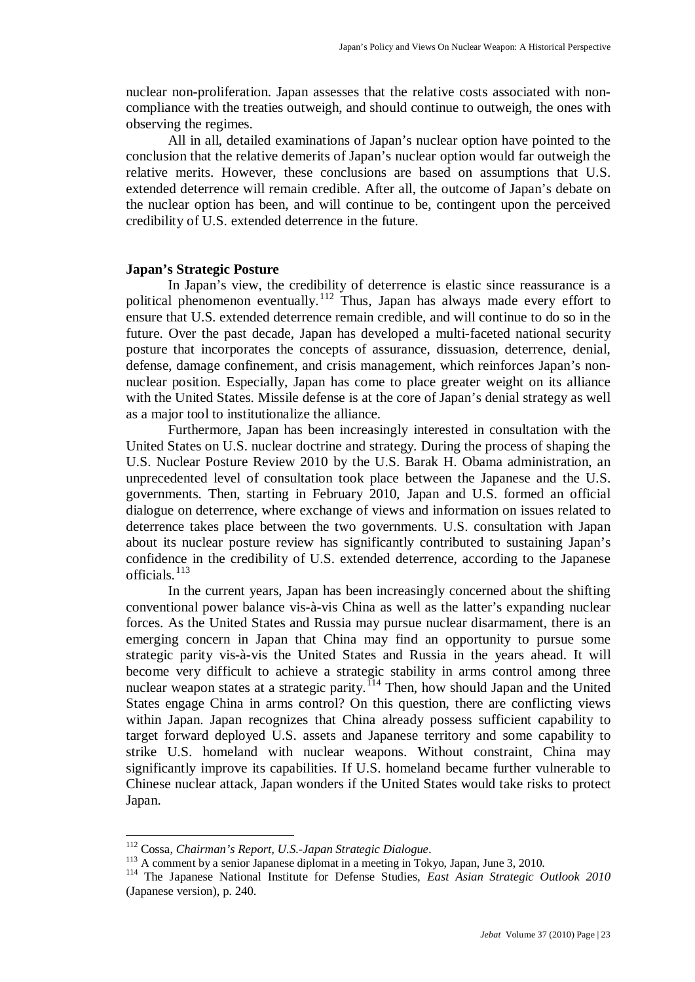nuclear non-proliferation. Japan assesses that the relative costs associated with noncompliance with the treaties outweigh, and should continue to outweigh, the ones with observing the regimes.

All in all, detailed examinations of Japan's nuclear option have pointed to the conclusion that the relative demerits of Japan's nuclear option would far outweigh the relative merits. However, these conclusions are based on assumptions that U.S. extended deterrence will remain credible. After all, the outcome of Japan's debate on the nuclear option has been, and will continue to be, contingent upon the perceived credibility of U.S. extended deterrence in the future.

### **Japan's Strategic Posture**

In Japan's view, the credibility of deterrence is elastic since reassurance is a political phenomenon eventually.<sup>[112](#page-22-0)</sup> Thus, Japan has always made every effort to ensure that U.S. extended deterrence remain credible, and will continue to do so in the future. Over the past decade, Japan has developed a multi-faceted national security posture that incorporates the concepts of assurance, dissuasion, deterrence, denial, defense, damage confinement, and crisis management, which reinforces Japan's nonnuclear position. Especially, Japan has come to place greater weight on its alliance with the United States. Missile defense is at the core of Japan's denial strategy as well as a major tool to institutionalize the alliance.

Furthermore, Japan has been increasingly interested in consultation with the United States on U.S. nuclear doctrine and strategy. During the process of shaping the U.S. Nuclear Posture Review 2010 by the U.S. Barak H. Obama administration, an unprecedented level of consultation took place between the Japanese and the U.S. governments. Then, starting in February 2010, Japan and U.S. formed an official dialogue on deterrence, where exchange of views and information on issues related to deterrence takes place between the two governments. U.S. consultation with Japan about its nuclear posture review has significantly contributed to sustaining Japan's confidence in the credibility of U.S. extended deterrence, according to the Japanese officials. [113](#page-22-1)

In the current years, Japan has been increasingly concerned about the shifting conventional power balance vis-à-vis China as well as the latter's expanding nuclear forces. As the United States and Russia may pursue nuclear disarmament, there is an emerging concern in Japan that China may find an opportunity to pursue some strategic parity vis-à-vis the United States and Russia in the years ahead. It will become very difficult to achieve a strategic stability in arms control among three nuclear weapon states at a strategic parity.<sup>[114](#page-22-2)</sup> Then, how should Japan and the United States engage China in arms control? On this question, there are conflicting views within Japan. Japan recognizes that China already possess sufficient capability to target forward deployed U.S. assets and Japanese territory and some capability to strike U.S. homeland with nuclear weapons. Without constraint, China may significantly improve its capabilities. If U.S. homeland became further vulnerable to Chinese nuclear attack, Japan wonders if the United States would take risks to protect Japan.

<span id="page-22-0"></span><sup>112</sup> Cossa, *Chairman's Report, U.S.-Japan Strategic Dialogue*. <sup>113</sup> <sup>A</sup> comment by a senior Japanese diplomat in a meeting in Tokyo, Japan, June 3, 2010.

<span id="page-22-2"></span><span id="page-22-1"></span><sup>114</sup> The Japanese National Institute for Defense Studies, *East Asian Strategic Outlook 2010*  (Japanese version), p. 240.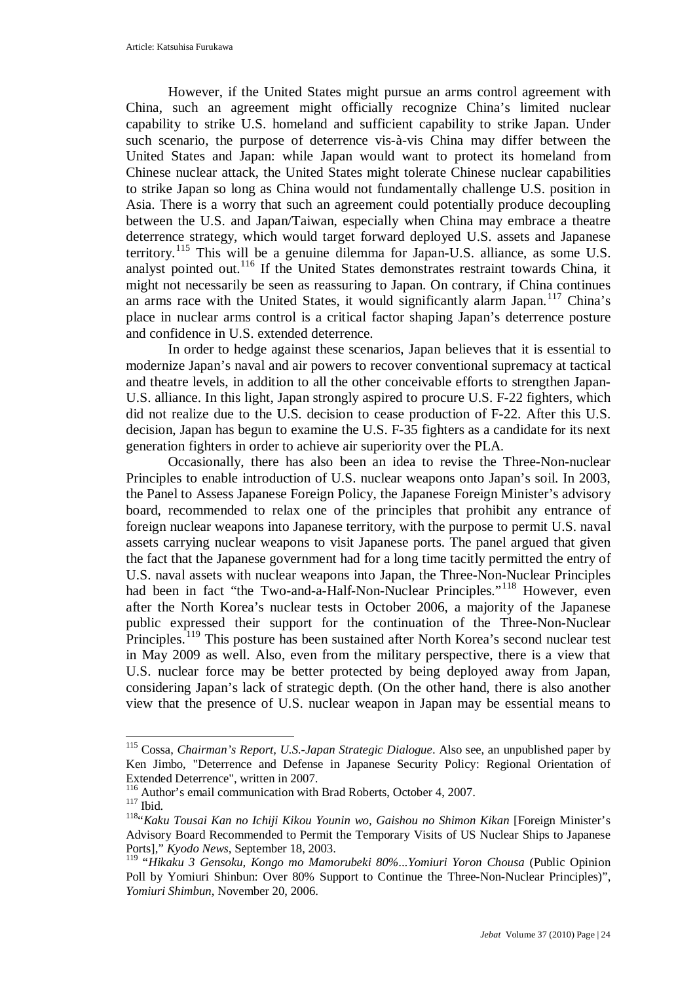However, if the United States might pursue an arms control agreement with China, such an agreement might officially recognize China's limited nuclear capability to strike U.S. homeland and sufficient capability to strike Japan. Under such scenario, the purpose of deterrence vis-à-vis China may differ between the United States and Japan: while Japan would want to protect its homeland from Chinese nuclear attack, the United States might tolerate Chinese nuclear capabilities to strike Japan so long as China would not fundamentally challenge U.S. position in Asia. There is a worry that such an agreement could potentially produce decoupling between the U.S. and Japan/Taiwan, especially when China may embrace a theatre deterrence strategy, which would target forward deployed U.S. assets and Japanese territory. [115](#page-23-0) This will be a genuine dilemma for Japan-U.S. alliance, as some U.S. analyst pointed out.<sup>[116](#page-23-1)</sup> If the United States demonstrates restraint towards China, it might not necessarily be seen as reassuring to Japan. On contrary, if China continues an arms race with the United States, it would significantly alarm Japan.<sup>[117](#page-23-2)</sup> China's place in nuclear arms control is a critical factor shaping Japan's deterrence posture and confidence in U.S. extended deterrence.

In order to hedge against these scenarios, Japan believes that it is essential to modernize Japan's naval and air powers to recover conventional supremacy at tactical and theatre levels, in addition to all the other conceivable efforts to strengthen Japan-U.S. alliance. In this light, Japan strongly aspired to procure U.S. F-22 fighters, which did not realize due to the U.S. decision to cease production of F-22. After this U.S. decision, Japan has begun to examine the U.S. F-35 fighters as a candidate for its next generation fighters in order to achieve air superiority over the PLA.

Occasionally, there has also been an idea to revise the Three-Non-nuclear Principles to enable introduction of U.S. nuclear weapons onto Japan's soil. In 2003, the Panel to Assess Japanese Foreign Policy, the Japanese Foreign Minister's advisory board, recommended to relax one of the principles that prohibit any entrance of foreign nuclear weapons into Japanese territory, with the purpose to permit U.S. naval assets carrying nuclear weapons to visit Japanese ports. The panel argued that given the fact that the Japanese government had for a long time tacitly permitted the entry of U.S. naval assets with nuclear weapons into Japan, the Three-Non-Nuclear Principles had been in fact "the Two-and-a-Half-Non-Nuclear Principles."<sup>[118](#page-23-3)</sup> However, even after the North Korea's nuclear tests in October 2006, a majority of the Japanese public expressed their support for the continuation of the Three-Non-Nuclear Principles.<sup>[119](#page-23-4)</sup> This posture has been sustained after North Korea's second nuclear test in May 2009 as well. Also, even from the military perspective, there is a view that U.S. nuclear force may be better protected by being deployed away from Japan, considering Japan's lack of strategic depth. (On the other hand, there is also another view that the presence of U.S. nuclear weapon in Japan may be essential means to

<span id="page-23-0"></span> <sup>115</sup> Cossa, *Chairman's Report, U.S.-Japan Strategic Dialogue*. Also see, an unpublished paper by Ken Jimbo, "Deterrence and Defense in Japanese Security Policy: Regional Orientation of Extended Deterrence", written in 2007.

<span id="page-23-1"></span> $116$  Author's email communication with Brad Roberts, October 4, 2007.<br> $117$  Ihid

<span id="page-23-3"></span><span id="page-23-2"></span><sup>&</sup>lt;sup>118</sup>"Kaku Tousai Kan no Ichiji Kikou Younin wo, Gaishou no Shimon Kikan [Foreign Minister's Advisory Board Recommended to Permit the Temporary Visits of US Nuclear Ships to Japanese Ports]," *Kyodo News*, September 18, 2003.<br><sup>119</sup> "Hikaku 3 Gensoku, *Kongo mo Mamorubeki 80%...Yomiuri Yoron Chousa* (Public Opinion

<span id="page-23-4"></span>Poll by Yomiuri Shinbun: Over 80% Support to Continue the Three-Non-Nuclear Principles)", *Yomiuri Shimbun*, November 20, 2006.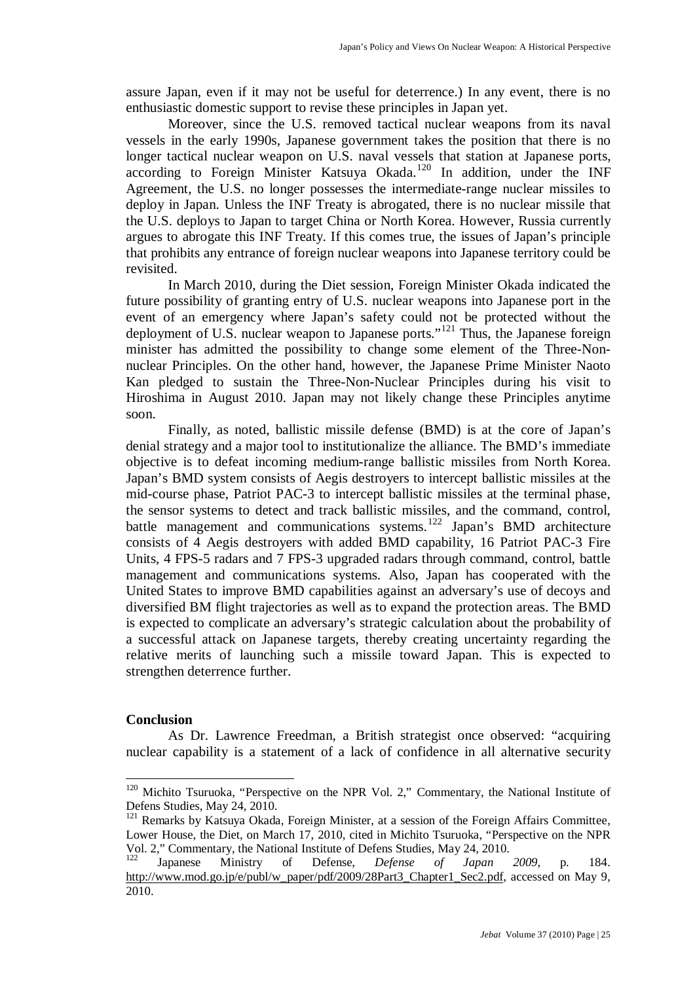assure Japan, even if it may not be useful for deterrence.) In any event, there is no enthusiastic domestic support to revise these principles in Japan yet.

Moreover, since the U.S. removed tactical nuclear weapons from its naval vessels in the early 1990s, Japanese government takes the position that there is no longer tactical nuclear weapon on U.S. naval vessels that station at Japanese ports, according to Foreign Minister Katsuya Okada.<sup>[120](#page-24-0)</sup> In addition, under the INF Agreement, the U.S. no longer possesses the intermediate-range nuclear missiles to deploy in Japan. Unless the INF Treaty is abrogated, there is no nuclear missile that the U.S. deploys to Japan to target China or North Korea. However, Russia currently argues to abrogate this INF Treaty. If this comes true, the issues of Japan's principle that prohibits any entrance of foreign nuclear weapons into Japanese territory could be revisited.

In March 2010, during the Diet session, Foreign Minister Okada indicated the future possibility of granting entry of U.S. nuclear weapons into Japanese port in the event of an emergency where Japan's safety could not be protected without the deployment of U.S. nuclear weapon to Japanese ports."<sup>[121](#page-24-1)</sup> Thus, the Japanese foreign minister has admitted the possibility to change some element of the Three-Nonnuclear Principles. On the other hand, however, the Japanese Prime Minister Naoto Kan pledged to sustain the Three-Non-Nuclear Principles during his visit to Hiroshima in August 2010. Japan may not likely change these Principles anytime soon.

Finally, as noted, ballistic missile defense (BMD) is at the core of Japan's denial strategy and a major tool to institutionalize the alliance. The BMD's immediate objective is to defeat incoming medium-range ballistic missiles from North Korea. Japan's BMD system consists of Aegis destroyers to intercept ballistic missiles at the mid-course phase, Patriot PAC-3 to intercept ballistic missiles at the terminal phase, the sensor systems to detect and track ballistic missiles, and the command, control, battle management and communications systems.<sup>[122](#page-24-2)</sup> Japan's BMD architecture consists of 4 Aegis destroyers with added BMD capability, 16 Patriot PAC-3 Fire Units, 4 FPS-5 radars and 7 FPS-3 upgraded radars through command, control, battle management and communications systems. Also, Japan has cooperated with the United States to improve BMD capabilities against an adversary's use of decoys and diversified BM flight trajectories as well as to expand the protection areas. The BMD is expected to complicate an adversary's strategic calculation about the probability of a successful attack on Japanese targets, thereby creating uncertainty regarding the relative merits of launching such a missile toward Japan. This is expected to strengthen deterrence further.

### **Conclusion**

As Dr. Lawrence Freedman, a British strategist once observed: "acquiring nuclear capability is a statement of a lack of confidence in all alternative security

<span id="page-24-0"></span><sup>&</sup>lt;sup>120</sup> Michito Tsuruoka, "Perspective on the NPR Vol. 2," Commentary, the National Institute of Defens Studies, May 24, 2010.

<span id="page-24-1"></span><sup>&</sup>lt;sup>121</sup> Remarks by Katsuya Okada, Foreign Minister, at a session of the Foreign Affairs Committee, Lower House, the Diet, on March 17, 2010, cited in Michito Tsuruoka, "Perspective on the NPR Vol. 2," Commentary, the National Institute of Defens Studies, May 24, 2010.

<span id="page-24-2"></span><sup>122</sup> Japanese Ministry of Defense, *Defense of Japan 2009*, p. 184. [http://www.mod.go.jp/e/publ/w\\_paper/pdf/2009/28Part3\\_Chapter1\\_Sec2.pdf,](http://www.mod.go.jp/e/publ/w_paper/pdf/2009/28Part3_Chapter1_Sec2.pdf) accessed on May 9, 2010.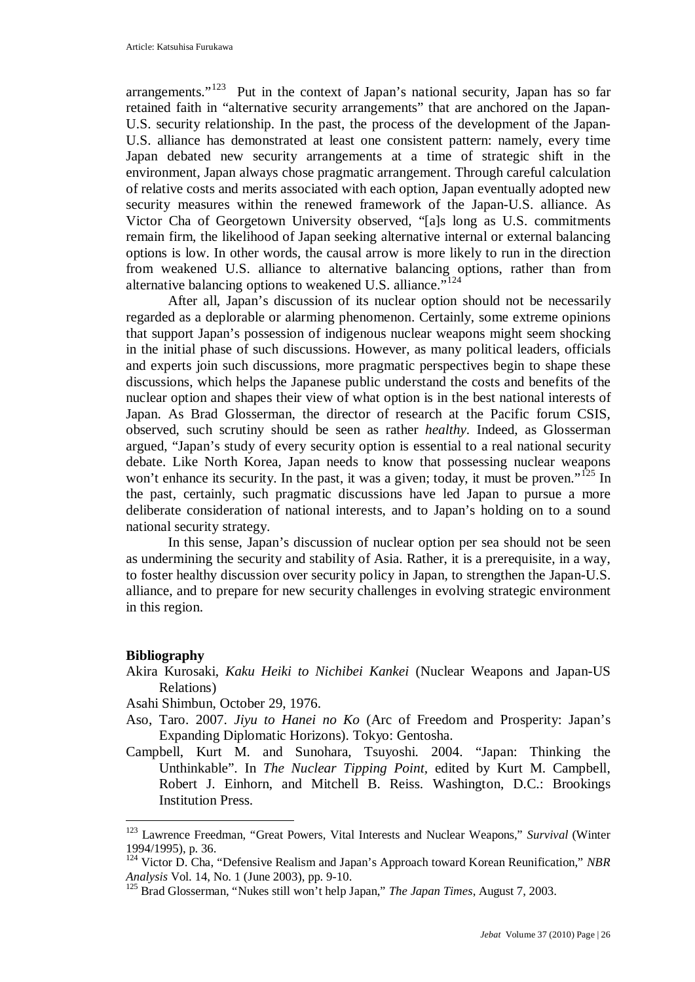arrangements."<sup>123</sup> Put in the context of Japan's national security, Japan has so far retained faith in "alternative security arrangements" that are anchored on the Japan-U.S. security relationship. In the past, the process of the development of the Japan-U.S. alliance has demonstrated at least one consistent pattern: namely, every time Japan debated new security arrangements at a time of strategic shift in the environment, Japan always chose pragmatic arrangement. Through careful calculation of relative costs and merits associated with each option, Japan eventually adopted new security measures within the renewed framework of the Japan-U.S. alliance. As Victor Cha of Georgetown University observed, "[a]s long as U.S. commitments remain firm, the likelihood of Japan seeking alternative internal or external balancing options is low. In other words, the causal arrow is more likely to run in the direction from weakened U.S. alliance to alternative balancing options, rather than from alternative balancing options to weakened U.S. alliance."<sup>[124](#page-25-1)</sup>

After all, Japan's discussion of its nuclear option should not be necessarily regarded as a deplorable or alarming phenomenon. Certainly, some extreme opinions that support Japan's possession of indigenous nuclear weapons might seem shocking in the initial phase of such discussions. However, as many political leaders, officials and experts join such discussions, more pragmatic perspectives begin to shape these discussions, which helps the Japanese public understand the costs and benefits of the nuclear option and shapes their view of what option is in the best national interests of Japan. As Brad Glosserman, the director of research at the Pacific forum CSIS, observed, such scrutiny should be seen as rather *healthy*. Indeed, as Glosserman argued, "Japan's study of every security option is essential to a real national security debate. Like North Korea, Japan needs to know that possessing nuclear weapons won't enhance its security. In the past, it was a given; today, it must be proven."<sup>[125](#page-25-2)</sup> In the past, certainly, such pragmatic discussions have led Japan to pursue a more deliberate consideration of national interests, and to Japan's holding on to a sound national security strategy.

In this sense, Japan's discussion of nuclear option per sea should not be seen as undermining the security and stability of Asia. Rather, it is a prerequisite, in a way, to foster healthy discussion over security policy in Japan, to strengthen the Japan-U.S. alliance, and to prepare for new security challenges in evolving strategic environment in this region.

#### **Bibliography**

- Akira Kurosaki, *Kaku Heiki to Nichibei Kankei* (Nuclear Weapons and Japan-US Relations)
- Asahi Shimbun, October 29, 1976.
- Aso, Taro. 2007. *Jiyu to Hanei no Ko* (Arc of Freedom and Prosperity: Japan's Expanding Diplomatic Horizons). Tokyo: Gentosha.
- Campbell, Kurt M. and Sunohara, Tsuyoshi. 2004. "Japan: Thinking the Unthinkable". In *The Nuclear Tipping Point,* edited by Kurt M. Campbell, Robert J. Einhorn, and Mitchell B. Reiss. Washington, D.C.: Brookings Institution Press.

<span id="page-25-0"></span> <sup>123</sup> Lawrence Freedman, "Great Powers, Vital Interests and Nuclear Weapons," *Survival* (Winter 1994/1995), p. 36.

<span id="page-25-1"></span><sup>124</sup> Victor D. Cha, "Defensive Realism and Japan's Approach toward Korean Reunification," *NBR Analysis* Vol. 14, No. 1 (June 2003), pp. 9-10.

<span id="page-25-2"></span><sup>125</sup> Brad Glosserman, "Nukes still won't help Japan," *The Japan Times*, August 7, 2003.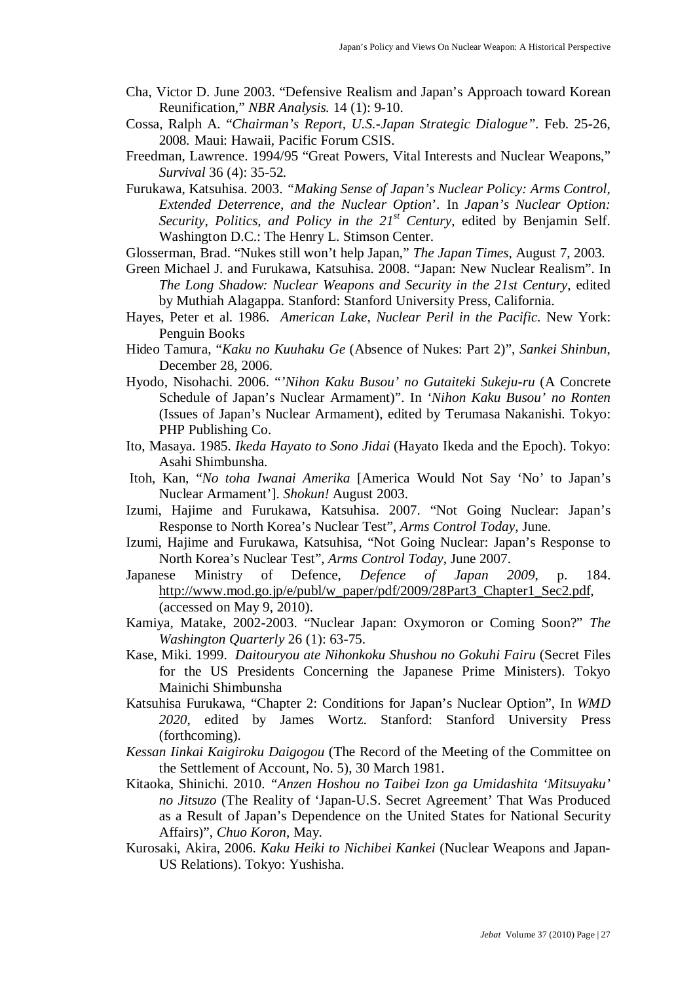- Cha, Victor D. June 2003. "Defensive Realism and Japan's Approach toward Korean Reunification," *NBR Analysis.* 14 (1): 9-10.
- Cossa, Ralph A. "*Chairman's Report, U.S.-Japan Strategic Dialogue".* Feb. 25-26, 2008. Maui: Hawaii, Pacific Forum CSIS.
- Freedman, Lawrence. 1994/95 "Great Powers, Vital Interests and Nuclear Weapons," *Survival* 36 (4): 35-52*.*
- Furukawa, Katsuhisa. 2003. *"Making Sense of Japan's Nuclear Policy: Arms Control, Extended Deterrence, and the Nuclear Option*'. In *Japan's Nuclear Option: Security, Politics, and Policy in the 21st Century*, edited by Benjamin Self. Washington D.C.: The Henry L. Stimson Center.
- Glosserman, Brad. "Nukes still won't help Japan," *The Japan Times*, August 7, 2003.
- Green Michael J. and Furukawa, Katsuhisa. 2008. "Japan: New Nuclear Realism". In *The Long Shadow: Nuclear Weapons and Security in the 21st Century*, edited by Muthiah Alagappa. Stanford: Stanford University Press, California.
- Hayes, Peter et al. 1986. *American Lake, Nuclear Peril in the Pacific.* New York: Penguin Books
- Hideo Tamura, "*Kaku no Kuuhaku Ge* (Absence of Nukes: Part 2)", *Sankei Shinbun*, December 28, 2006.
- Hyodo, Nisohachi. 2006. "*'Nihon Kaku Busou' no Gutaiteki Sukeju-ru* (A Concrete Schedule of Japan's Nuclear Armament)". In *'Nihon Kaku Busou' no Ronten* (Issues of Japan's Nuclear Armament), edited by Terumasa Nakanishi. Tokyo: PHP Publishing Co.
- Ito, Masaya. 1985. *Ikeda Hayato to Sono Jidai* (Hayato Ikeda and the Epoch). Tokyo: Asahi Shimbunsha.
- Itoh, Kan, "*No toha Iwanai Amerika* [America Would Not Say 'No' to Japan's Nuclear Armament']. *Shokun!* August 2003.
- Izumi, Hajime and [Furukawa, Katsuhisa. 2007.](http://www.armscontrol.org/act/2007_06/CoverStory.asp#bio#bio)  "Not Going Nuclear: Japan's Response to North Korea's Nuclear Test", *Arms Control Today*, June.
- Izumi, Hajime and Furukawa, Katsuhisa, "Not Going Nuclear: Japan's Response to North Korea's Nuclear Test", *Arms Control Today*, June 2007.
- Japanese Ministry of Defence, *Defence of Japan 2009*, p. 184. [http://www.mod.go.jp/e/publ/w\\_paper/pdf/2009/28Part3\\_Chapter1\\_Sec2.pdf,](http://www.mod.go.jp/e/publ/w_paper/pdf/2009/28Part3_Chapter1_Sec2.pdf) (accessed on May 9, 2010).
- Kamiya, Matake, 2002-2003. "Nuclear Japan: Oxymoron or Coming Soon?" *The Washington Quarterly* 26 (1): 63-75.
- Kase, Miki. 1999. *Daitouryou ate Nihonkoku Shushou no Gokuhi Fairu* (Secret Files for the US Presidents Concerning the Japanese Prime Ministers). Tokyo Mainichi Shimbunsha
- Katsuhisa Furukawa, "Chapter 2: Conditions for Japan's Nuclear Option", In *WMD 2020,* edited by James Wortz. Stanford: Stanford University Press (forthcoming).
- *Kessan Iinkai Kaigiroku Daigogou* (The Record of the Meeting of the Committee on the Settlement of Account, No. 5), 30 March 1981.
- Kitaoka, Shinichi. 2010. *"Anzen Hoshou no Taibei Izon ga Umidashita 'Mitsuyaku' no Jitsuzo* (The Reality of 'Japan-U.S. Secret Agreement' That Was Produced as a Result of Japan's Dependence on the United States for National Security Affairs)", *Chuo Koron*, May.
- Kurosaki, Akira, 2006. *Kaku Heiki to Nichibei Kankei* (Nuclear Weapons and Japan-US Relations). Tokyo: Yushisha.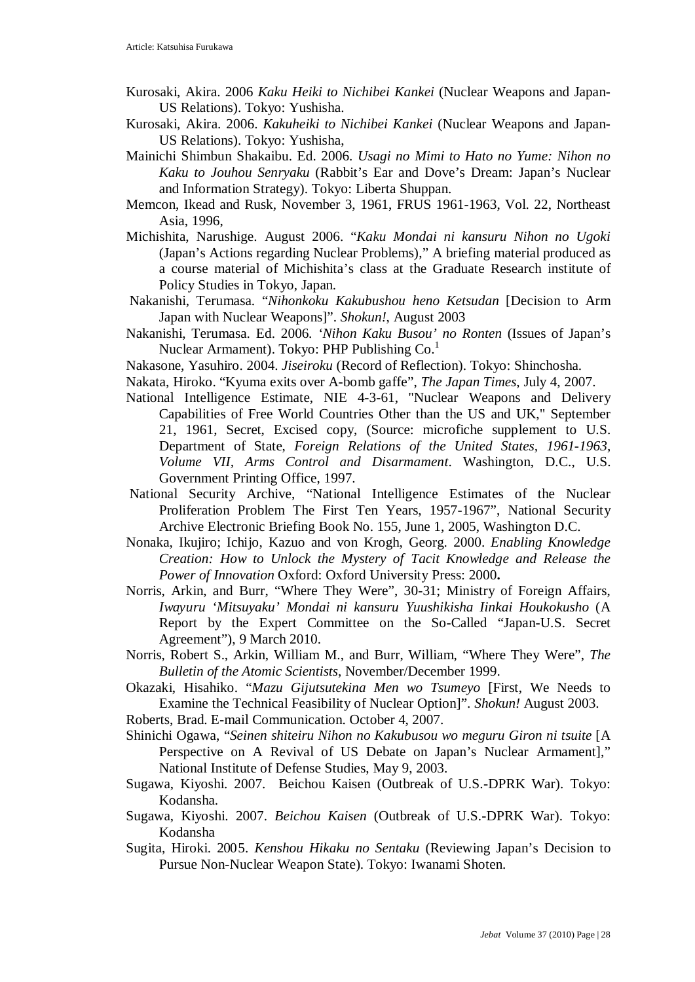- Kurosaki, Akira. 2006 *Kaku Heiki to Nichibei Kankei* (Nuclear Weapons and Japan-US Relations). Tokyo: Yushisha.
- Kurosaki, Akira. 2006. *Kakuheiki to Nichibei Kankei* (Nuclear Weapons and Japan-US Relations). Tokyo: Yushisha,
- Mainichi Shimbun Shakaibu. Ed. 2006. *Usagi no Mimi to Hato no Yume: Nihon no Kaku to Jouhou Senryaku* (Rabbit's Ear and Dove's Dream: Japan's Nuclear and Information Strategy). Tokyo: Liberta Shuppan.
- Memcon, Ikead and Rusk, November 3, 1961, FRUS 1961-1963, Vol. 22, Northeast Asia, 1996,
- Michishita, Narushige. August 2006. "*Kaku Mondai ni kansuru Nihon no Ugoki*  (Japan's Actions regarding Nuclear Problems)," A briefing material produced as a course material of Michishita's class at the Graduate Research institute of Policy Studies in Tokyo, Japan.
- Nakanishi, Terumasa. "*Nihonkoku Kakubushou heno Ketsudan* [Decision to Arm Japan with Nuclear Weapons]". *Shokun!*, August 2003
- Nakanishi, Terumasa. Ed. 2006. *'Nihon Kaku Busou' no Ronten* (Issues of Japan's Nuclear Armament). Tokyo: PHP Publishing Co.<sup>1</sup>
- Nakasone, Yasuhiro. 2004. *Jiseiroku* (Record of Reflection). Tokyo: Shinchosha.
- Nakata, Hiroko. "Kyuma exits over A-bomb gaffe", *The Japan Times*, July 4, 2007.
- National Intelligence Estimate, NIE 4-3-61, "Nuclear Weapons and Delivery Capabilities of Free World Countries Other than the US and UK," September 21, 1961, Secret, Excised copy, (Source: microfiche supplement to U.S. Department of State, *Foreign Relations of the United States, 1961-1963, Volume VII, Arms Control and Disarmament*. Washington, D.C., U.S. Government Printing Office, 1997.
- National Security Archive, "National Intelligence Estimates of the Nuclear Proliferation Problem The First Ten Years, 1957-1967", National Security Archive Electronic Briefing Book No. 155, June 1, 2005, Washington D.C.
- Nonaka, Ikujiro; Ichijo, Kazuo and von Krogh, Georg. 2000. *Enabling Knowledge Creation: How to Unlock the Mystery of Tacit Knowledge and Release the Power of Innovation* Oxford: Oxford University Press: 2000**.**
- Norris, Arkin, and Burr, "Where They Were", 30-31; Ministry of Foreign Affairs, *Iwayuru 'Mitsuyaku' Mondai ni kansuru Yuushikisha Iinkai Houkokusho* (A Report by the Expert Committee on the So-Called "Japan-U.S. Secret Agreement"), 9 March 2010.
- Norris, Robert S., Arkin, William M., and Burr, William, "Where They Were", *The Bulletin of the Atomic Scientists*, November/December 1999.
- Okazaki, Hisahiko. "*Mazu Gijutsutekina Men wo Tsumeyo* [First, We Needs to Examine the Technical Feasibility of Nuclear Option]". *Shokun!* August 2003.
- Roberts, Brad. E-mail Communication. October 4, 2007.
- Shinichi Ogawa, "*Seinen shiteiru Nihon no Kakubusou wo meguru Giron ni tsuite* [A Perspective on A Revival of US Debate on Japan's Nuclear Armament]," National Institute of Defense Studies, May 9, 2003.
- Sugawa, Kiyoshi. 2007. Beichou Kaisen (Outbreak of U.S.-DPRK War). Tokyo: Kodansha.
- Sugawa, Kiyoshi. 2007. *Beichou Kaisen* (Outbreak of U.S.-DPRK War). Tokyo: Kodansha
- Sugita, Hiroki. 2005. *Kenshou Hikaku no Sentaku* (Reviewing Japan's Decision to Pursue Non-Nuclear Weapon State). Tokyo: Iwanami Shoten.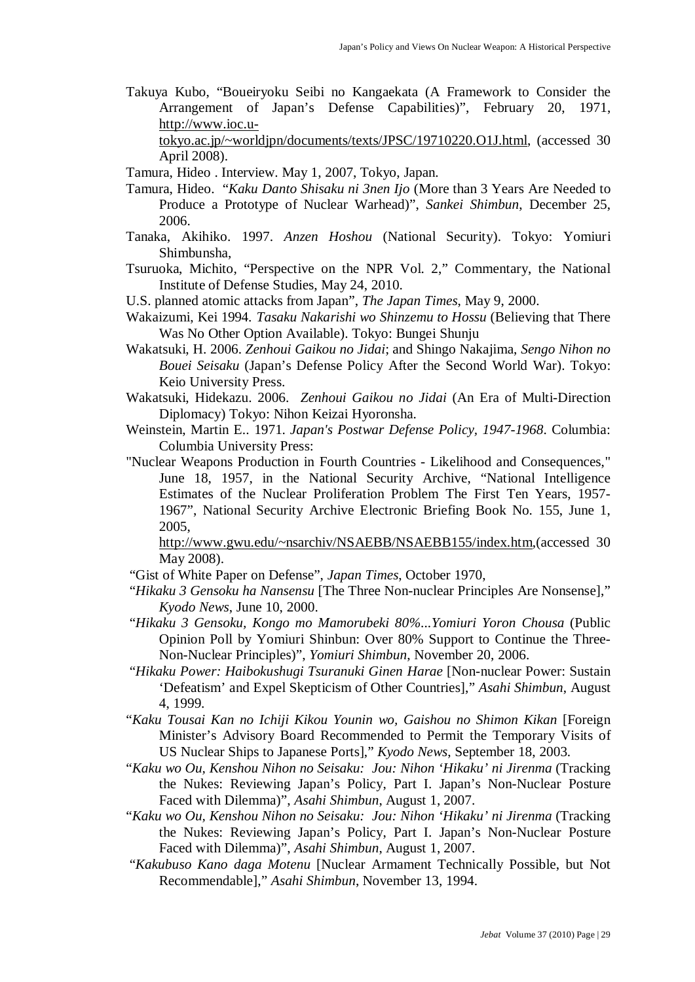Takuya Kubo, "Boueiryoku Seibi no Kangaekata (A Framework to Consider the Arrangement of Japan's Defense Capabilities)", February 20, 1971, [http://www.ioc.u-](http://www.ioc.u-tokyo.ac.jp/~worldjpn/documents/texts/JPSC/19710220.O1J.html)

[tokyo.ac.jp/~worldjpn/documents/texts/JPSC/19710220.O1J.html,](http://www.ioc.u-tokyo.ac.jp/~worldjpn/documents/texts/JPSC/19710220.O1J.html) (accessed 30 April 2008).

- Tamura, Hideo . Interview. May 1, 2007, Tokyo, Japan.
- Tamura, Hideo. "*Kaku Danto Shisaku ni 3nen Ijo* (More than 3 Years Are Needed to Produce a Prototype of Nuclear Warhead)", *Sankei Shimbun*, December 25, 2006.
- Tanaka, Akihiko. 1997. *Anzen Hoshou* (National Security). Tokyo: Yomiuri Shimbunsha,
- Tsuruoka, Michito, "Perspective on the NPR Vol. 2," Commentary, the National Institute of Defense Studies, May 24, 2010.
- U.S. planned atomic attacks from Japan", *The Japan Times*, May 9, 2000.
- Wakaizumi, Kei 1994. *Tasaku Nakarishi wo Shinzemu to Hossu* (Believing that There Was No Other Option Available). Tokyo: Bungei Shunju
- Wakatsuki, H. 2006. *Zenhoui Gaikou no Jidai*; and Shingo Nakajima, *Sengo Nihon no Bouei Seisaku* (Japan's Defense Policy After the Second World War). Tokyo: Keio University Press.
- Wakatsuki, Hidekazu. 2006. *Zenhoui Gaikou no Jidai* (An Era of Multi-Direction Diplomacy) Tokyo: Nihon Keizai Hyoronsha.
- Weinstein, Martin E.. 1971. *[Japan's Postwar Defense Policy, 1947-1968](http://www.amazon.com/exec/obidos/tg/detail/-/B000UEITZY/ref=ord_cart_shr?%5Fencoding=UTF8&v=glance)*. Columbia: Columbia University Press:
- "Nuclear Weapons Production in Fourth Countries Likelihood and Consequences," June 18, 1957, in the National Security Archive, "National Intelligence Estimates of the Nuclear Proliferation Problem The First Ten Years, 1957- 1967", National Security Archive Electronic Briefing Book No. 155, June 1, 2005,

[http://www.gwu.edu/~nsarchiv/NSAEBB/NSAEBB155/index.htm,](http://www.gwu.edu/~nsarchiv/NSAEBB/NSAEBB155/index.htm)(accessed 30 May 2008).

- "Gist of White Paper on Defense", *Japan Times*, October 1970,
- "*Hikaku 3 Gensoku ha Nansensu* [The Three Non-nuclear Principles Are Nonsense]," *Kyodo News*, June 10, 2000.
- "*Hikaku 3 Gensoku, Kongo mo Mamorubeki 80%...Yomiuri Yoron Chousa* (Public Opinion Poll by Yomiuri Shinbun: Over 80% Support to Continue the Three-Non-Nuclear Principles)", *Yomiuri Shimbun*, November 20, 2006.
- "*Hikaku Power: Haibokushugi Tsuranuki Ginen Harae* [Non-nuclear Power: Sustain 'Defeatism' and Expel Skepticism of Other Countries]," *Asahi Shimbun*, August 4, 1999.
- "*Kaku Tousai Kan no Ichiji Kikou Younin wo, Gaishou no Shimon Kikan* [Foreign Minister's Advisory Board Recommended to Permit the Temporary Visits of US Nuclear Ships to Japanese Ports]," *Kyodo News*, September 18, 2003.
- "*Kaku wo Ou, Kenshou Nihon no Seisaku: Jou: Nihon 'Hikaku' ni Jirenma* (Tracking the Nukes: Reviewing Japan's Policy, Part I. Japan's Non-Nuclear Posture Faced with Dilemma)", *Asahi Shimbun*, August 1, 2007.
- "*Kaku wo Ou, Kenshou Nihon no Seisaku: Jou: Nihon 'Hikaku' ni Jirenma* (Tracking the Nukes: Reviewing Japan's Policy, Part I. Japan's Non-Nuclear Posture Faced with Dilemma)", *Asahi Shimbun*, August 1, 2007.
- "*Kakubuso Kano daga Motenu* [Nuclear Armament Technically Possible, but Not Recommendable]," *Asahi Shimbun*, November 13, 1994.